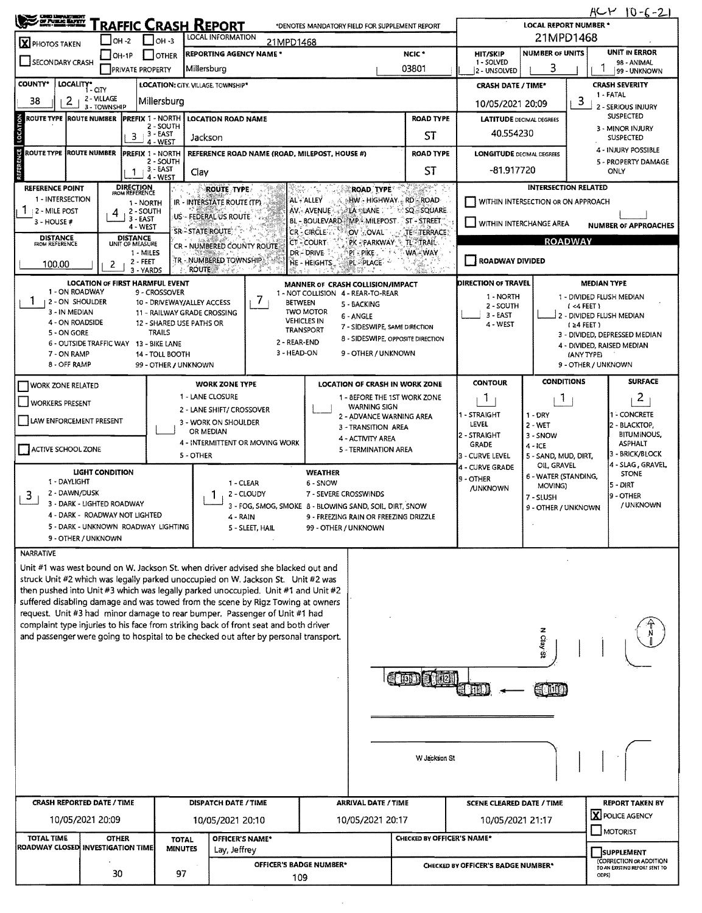| <b>Condition and Service State</b>   |                                                              | RAFFIC CRASH REPORT                            | HCY<br>$10 - 6 - 2$<br><b>LOCAL REPORT NUMBER *</b>     |                                                                                                                                                               |                                                |                                                                                                                                      |                            |                                            |                                              |                                              |  |  |
|--------------------------------------|--------------------------------------------------------------|------------------------------------------------|---------------------------------------------------------|---------------------------------------------------------------------------------------------------------------------------------------------------------------|------------------------------------------------|--------------------------------------------------------------------------------------------------------------------------------------|----------------------------|--------------------------------------------|----------------------------------------------|----------------------------------------------|--|--|
| $\overline{\mathbf{X}}$ PHOTOS TAKEN | $ OH -2 $                                                    | $\Box$ OH -3                                   |                                                         | LOCAL INFORMATION<br>21MPD1468                                                                                                                                | *DENOTES MANDATORY FIELD FOR SUPPLEMENT REPORT |                                                                                                                                      | 21MPD1468                  |                                            |                                              |                                              |  |  |
|                                      | $ $ OH-1P                                                    | <b>I</b> JOTHER                                |                                                         | <b>REPORTING AGENCY NAME *</b>                                                                                                                                |                                                |                                                                                                                                      | NCIC <sup>*</sup>          | HIT/SKIP                                   | <b>NUMBER OF UNITS</b>                       | <b>UNIT IN ERROR</b>                         |  |  |
| SECONDARY CRASH                      |                                                              | PRIVATE PROPERTY                               | Millersburg                                             | 03801                                                                                                                                                         |                                                |                                                                                                                                      |                            | 1 - SOLVED<br>2 - UNSOLVED                 | 98 - ANIMAL<br>3<br>99 - UNKNOWN             |                                              |  |  |
| <b>COUNTY*</b>                       | LOCALITY* CITY                                               |                                                | LOCATION: CITY. VILLAGE, TOWNSHIP*                      |                                                                                                                                                               |                                                |                                                                                                                                      |                            | <b>CRASH DATE / TIME*</b>                  |                                              | <b>CRASH SEVERITY</b>                        |  |  |
| 38<br>2                              | 2 - VILLAGE<br>3 - TOWNSHIP                                  | Millersburg                                    |                                                         |                                                                                                                                                               |                                                |                                                                                                                                      | 10/05/2021 20:09           |                                            | 1 - FATAL<br>3<br>2 - SERIOUS INJURY         |                                              |  |  |
| <b>ROUTE TYPE ROUTE NUMBER</b>       |                                                              | <b>PREFIX 1 - NORTH</b>                        |                                                         | <b>LOCATION ROAD NAME</b>                                                                                                                                     |                                                |                                                                                                                                      | <b>ROAD TYPE</b>           | <b>LATITUDE</b> DECIMAL DEGREES            |                                              | <b>SUSPECTED</b>                             |  |  |
| LOCATION                             |                                                              | 2 - SOUTH<br>3 - EAST<br>3<br>4 - WEST         |                                                         | Jackson                                                                                                                                                       |                                                |                                                                                                                                      | ST                         | 40.554230                                  | 3 - MINOR INJURY<br><b>SUSPECTED</b>         |                                              |  |  |
| ROUTE TYPE ROUTE NUMBER              |                                                              | <b>PREFIX 1 - NORTH</b>                        |                                                         | REFERENCE ROAD NAME (ROAD, MILEPOST, HOUSE #)                                                                                                                 |                                                |                                                                                                                                      | <b>ROAD TYPE</b>           | <b>LONGITUDE</b> DECIMAL DEGREES           | 4 - INJURY POSSIBLE                          |                                              |  |  |
| REFERENCE                            |                                                              | 2 - SOUTH<br><sub>:</sub> 3 - EAST<br>1.       | Clay                                                    |                                                                                                                                                               |                                                |                                                                                                                                      | ST                         | -81.917720                                 | 5 - PROPERTY DAMAGE<br>ONLY                  |                                              |  |  |
| <b>REFERENCE POINT</b>               |                                                              | 4 - WEST<br><b>DIRECTION</b><br>FROM REFERENCE |                                                         | <b>ROUTE TYPE</b>                                                                                                                                             |                                                | ROAD TYPE                                                                                                                            | PER T                      |                                            | <b>INTERSECTION RELATED</b>                  |                                              |  |  |
| 1 - INTERSECTION                     |                                                              | 1 - NORTH                                      |                                                         | IR - INTERSTATE ROUTE (TP)                                                                                                                                    | AL - ALLEY                                     | ⊚HW - HIGHWAY - RD - ROAD-                                                                                                           |                            |                                            | WITHIN INTERSECTION OR ON APPROACH           |                                              |  |  |
| <b>2 - MILE POST</b><br>3 - HOUSE #  | 4                                                            | 2 - SOUTH<br>3 - EAST                          |                                                         | US - FEDERAL US ROUTE                                                                                                                                         | AV. AVENUE                                     | ala silane :<br>BL - BOULEVARD MP - MILEPOST ST - STREET                                                                             | <b>ESQ-SQUARE</b>          | VITHIN INTERCHANGE AREA                    |                                              |                                              |  |  |
| <b>DISTANCE</b>                      |                                                              | 4 - WEST<br><b>DISTANCE</b>                    | SR-STATE ROUTE                                          |                                                                                                                                                               | CR-GIRCLE                                      | OV COVAL 1995                                                                                                                        | TESTERRACE)                |                                            |                                              | <b>NUMBER OF APPROACHES</b>                  |  |  |
| <b>FROM REFERENCE</b>                |                                                              | UNIT OF MEASURE<br>1 - MILES                   |                                                         | CR - NUMBERED COUNTY ROUTE                                                                                                                                    | CT-COURT<br>DR-DRIVE                           | PK PARKWAY & TL TRAIL.<br>pi enke .                                                                                                  | <b>WA-WAY</b>              |                                            | <b>ROADWAY</b>                               |                                              |  |  |
| 100.00                               | 2                                                            | 2 - FEET<br>3 - YARDS                          | <b>ROUTE</b>                                            | TR - NUMBERED TOWNSHIP                                                                                                                                        | HE - HEIGHTS                                   | PL-PLACE -                                                                                                                           |                            | ROADWAY DIVIDED                            |                                              |                                              |  |  |
|                                      | <b>LOCATION OF FIRST HARMFUL EVENT</b>                       |                                                |                                                         |                                                                                                                                                               |                                                | MANNER OF CRASH COLLISION/IMPACT                                                                                                     |                            | <b>DIRECTION OF TRAVEL</b>                 |                                              | <b>MEDIAN TYPE</b>                           |  |  |
| 1 - ON ROADWAY<br>2 - ON SHOULDER    |                                                              | 9 - CROSSOVER                                  | 10 - DRIVEWAY/ALLEY ACCESS                              | 7<br><b>BETWEEN</b>                                                                                                                                           |                                                | 1 - NOT COLLISION 4 - REAR-TO-REAR<br>5 - BACKING                                                                                    |                            | 1 - NORTH<br>2 - SOUTH                     |                                              | 1 - DIVIDED FLUSH MEDIAN<br>$($ <4 FEET $)$  |  |  |
| 3 - IN MEDIAN<br>4 - ON ROADSIDE     |                                                              |                                                | 11 - RAILWAY GRADE CROSSING<br>12 - SHARED USE PATHS OR |                                                                                                                                                               | <b>TWO MOTOR</b><br><b>VEHICLES IN</b>         | 6 - ANGLE                                                                                                                            |                            | 3 - EAST                                   |                                              | 2 - DIVIDED FLUSH MEDIAN                     |  |  |
| 5 - ON GORE                          |                                                              | <b>TRAILS</b>                                  |                                                         |                                                                                                                                                               | <b>TRANSPORT</b>                               | 7 - SIDESWIPE, SAME DIRECTION<br>8 - SIDESWIPE, OPPOSITE DIRECTION                                                                   |                            | 4 - WEST                                   |                                              | $(24$ FEET)<br>3 - DIVIDED, DEPRESSED MEDIAN |  |  |
| 7 - ON RAMP                          | 6 - OUTSIDE TRAFFIC WAY 13 - BIKE LANE                       | 14 - TOLL BOOTH                                |                                                         | 2 - REAR-END<br>3 - HEAD-ON                                                                                                                                   |                                                | 9 - OTHER / UNKNOWN                                                                                                                  |                            |                                            |                                              | 4 - DIVIDED, RAISED MEDIAN<br>(ANY TYPE)     |  |  |
| 8 - OFF RAMP                         |                                                              |                                                | 99 - OTHER / UNKNOWN                                    |                                                                                                                                                               |                                                |                                                                                                                                      |                            |                                            |                                              | 9 - OTHER / UNKNOWN                          |  |  |
| <b>I WORK ZONE RELATED</b>           |                                                              |                                                |                                                         | <b>WORK ZONE TYPE</b>                                                                                                                                         |                                                | <b>LOCATION OF CRASH IN WORK ZONE</b>                                                                                                |                            | <b>CONTOUR</b>                             | <b>CONDITIONS</b>                            | <b>SURFACE</b>                               |  |  |
| WORKERS PRESENT                      |                                                              |                                                |                                                         | 1 - LANE CLOSURE                                                                                                                                              |                                                | 1 - BEFORE THE 1ST WORK ZONE                                                                                                         |                            | J.                                         | 1                                            | $\overline{a}$                               |  |  |
| LAW ENFORCEMENT PRESENT              |                                                              |                                                |                                                         | 2 - LANE SHIFT/ CROSSOVER<br>3 - WORK ON SHOULDER                                                                                                             |                                                | <b>WARNING SIGN</b><br>2 - ADVANCE WARNING AREA                                                                                      |                            | 1 - STRAIGHT                               | $1 - DRY$                                    | <b>I - CONCRETE</b>                          |  |  |
|                                      |                                                              |                                                |                                                         | OR MEDIAN                                                                                                                                                     |                                                | 3 - TRANSITION AREA                                                                                                                  |                            | LEVEL<br>2 - STRAIGHT                      | $2 - WET$<br>3 - SNOW                        | 2 - BLACKTOP,<br><b>BITUMINOUS,</b>          |  |  |
| ACTIVE SCHOOL ZONE                   |                                                              |                                                |                                                         | 4 - INTERMITTENT OR MOVING WORK                                                                                                                               | 4 - ACTIVITY AREA<br>5 - TERMINATION AREA      |                                                                                                                                      | <b>GRADE</b>               | $4 - ICE$                                  | ASPHALT                                      |                                              |  |  |
|                                      |                                                              |                                                | 5 - OTHER                                               |                                                                                                                                                               |                                                |                                                                                                                                      |                            | 3 - CURVE LEVEL<br>4 - CURVE GRADE         | 5 - SAND, MUD, DIRT,<br>OIL, GRAVEL          | 3 - BRICK/BLOCK<br>4 - SLAG , GRAVEL,        |  |  |
| 1 - DAYLIGHT                         | <b>LIGHT CONDITION</b>                                       |                                                |                                                         | 1 - CLEAR                                                                                                                                                     | <b>WEATHER</b><br>6 - SNOW                     | <b>STONE</b><br>6 - WATER (STANDING,<br>9 - OTHER<br>5 - DIRT<br>MOVING)                                                             |                            |                                            |                                              |                                              |  |  |
| 2 - DAWN/DUSK<br>3                   |                                                              |                                                |                                                         | 2 - CLOUDY                                                                                                                                                    | 7 - SEVERE CROSSWINDS                          | <b>/UNKNOWN</b><br>9 - OTHER<br>7 - SLUSH                                                                                            |                            |                                            |                                              |                                              |  |  |
|                                      | 3 - DARK - LIGHTED ROADWAY<br>4 - DARK - ROADWAY NOT LIGHTED |                                                |                                                         | 4 - RAIN                                                                                                                                                      |                                                | / UNKNOWN<br>3 - FOG, SMOG, SMOKE 8 - BLOWING SAND, SOIL, DIRT, SNOW<br>9 - OTHER / UNKNOWN<br>9 - FREEZING RAIN OR FREEZING DRIZZLE |                            |                                            |                                              |                                              |  |  |
|                                      | 5 - DARK - UNKNOWN ROADWAY LIGHTING                          |                                                |                                                         | 5 - SLEET, HAIL                                                                                                                                               | 99 - OTHER / UNKNOWN                           |                                                                                                                                      |                            |                                            |                                              |                                              |  |  |
|                                      | 9 - OTHER / UNKNOWN                                          |                                                |                                                         |                                                                                                                                                               |                                                |                                                                                                                                      |                            |                                            |                                              |                                              |  |  |
| NARRATIVE                            |                                                              |                                                |                                                         | Unit #1 was west bound on W. Jackson St. when driver advised she blacked out and                                                                              |                                                |                                                                                                                                      |                            |                                            |                                              |                                              |  |  |
|                                      |                                                              |                                                |                                                         | struck Unit #2 which was legally parked unoccupied on W. Jackson St. Unit #2 was                                                                              |                                                |                                                                                                                                      |                            |                                            |                                              |                                              |  |  |
|                                      |                                                              |                                                |                                                         | then pushed into Unit #3 which was legally parked unoccupied. Unit #1 and Unit #2                                                                             |                                                |                                                                                                                                      |                            |                                            |                                              |                                              |  |  |
|                                      |                                                              |                                                |                                                         | suffered disabling damage and was towed from the scene by Rigz Towing at owners<br>request. Unit #3 had minor damage to rear bumper. Passenger of Unit #1 had |                                                |                                                                                                                                      |                            |                                            |                                              |                                              |  |  |
|                                      |                                                              |                                                |                                                         | complaint type injuries to his face from striking back of front seat and both driver                                                                          |                                                |                                                                                                                                      |                            |                                            | z                                            |                                              |  |  |
|                                      |                                                              |                                                |                                                         | and passenger were going to hospital to be checked out after by personal transport.                                                                           |                                                |                                                                                                                                      |                            |                                            | Ciay                                         |                                              |  |  |
|                                      |                                                              |                                                |                                                         |                                                                                                                                                               |                                                |                                                                                                                                      |                            |                                            | Ø.                                           |                                              |  |  |
|                                      |                                                              |                                                |                                                         |                                                                                                                                                               |                                                |                                                                                                                                      |                            |                                            |                                              |                                              |  |  |
|                                      |                                                              |                                                |                                                         |                                                                                                                                                               |                                                |                                                                                                                                      |                            |                                            |                                              |                                              |  |  |
|                                      |                                                              |                                                |                                                         |                                                                                                                                                               |                                                |                                                                                                                                      |                            |                                            |                                              |                                              |  |  |
|                                      |                                                              |                                                |                                                         |                                                                                                                                                               |                                                |                                                                                                                                      |                            |                                            |                                              |                                              |  |  |
|                                      |                                                              |                                                |                                                         |                                                                                                                                                               |                                                |                                                                                                                                      |                            |                                            |                                              |                                              |  |  |
|                                      |                                                              |                                                |                                                         |                                                                                                                                                               |                                                |                                                                                                                                      | W Jackson St               |                                            |                                              |                                              |  |  |
|                                      |                                                              |                                                |                                                         |                                                                                                                                                               |                                                |                                                                                                                                      |                            |                                            |                                              |                                              |  |  |
|                                      |                                                              |                                                |                                                         |                                                                                                                                                               |                                                |                                                                                                                                      |                            |                                            |                                              |                                              |  |  |
| <b>CRASH REPORTED DATE / TIME</b>    |                                                              |                                                |                                                         | <b>DISPATCH DATE / TIME</b>                                                                                                                                   |                                                | <b>ARRIVAL DATE / TIME</b>                                                                                                           |                            | SCENE CLEARED DATE / TIME                  |                                              | <b>REPORT TAKEN BY</b>                       |  |  |
|                                      | 10/05/2021 20:09                                             |                                                |                                                         | 10/05/2021 20:10                                                                                                                                              |                                                | 10/05/2021 20:17                                                                                                                     |                            | <b>X</b> POLICE AGENCY<br>10/05/2021 21:17 |                                              |                                              |  |  |
| <b>TOTAL TIME</b>                    | <b>OTHER</b>                                                 |                                                | <b>TOTAL</b>                                            | OFFICER'S NAME*                                                                                                                                               |                                                |                                                                                                                                      | CHECKED BY OFFICER'S NAME* |                                            |                                              | MOTORIST                                     |  |  |
| ROADWAY CLOSED INVESTIGATION TIME    |                                                              |                                                | <b>MINUTES</b>                                          | Lay, Jeffrey                                                                                                                                                  |                                                |                                                                                                                                      |                            |                                            |                                              | <b>SUPPLEMENT</b><br>(CORRECTION OR ADDITION |  |  |
|                                      | 30                                                           |                                                | 97                                                      | OFFICER'S BADGE NUMBER*<br>109                                                                                                                                |                                                |                                                                                                                                      |                            | CHECKED BY OFFICER'S BADGE NUMBER*         | TO AN EXISTING REPORT SENT TO<br><b>ODPS</b> |                                              |  |  |
|                                      |                                                              |                                                |                                                         |                                                                                                                                                               |                                                |                                                                                                                                      |                            |                                            |                                              |                                              |  |  |

 $\sim$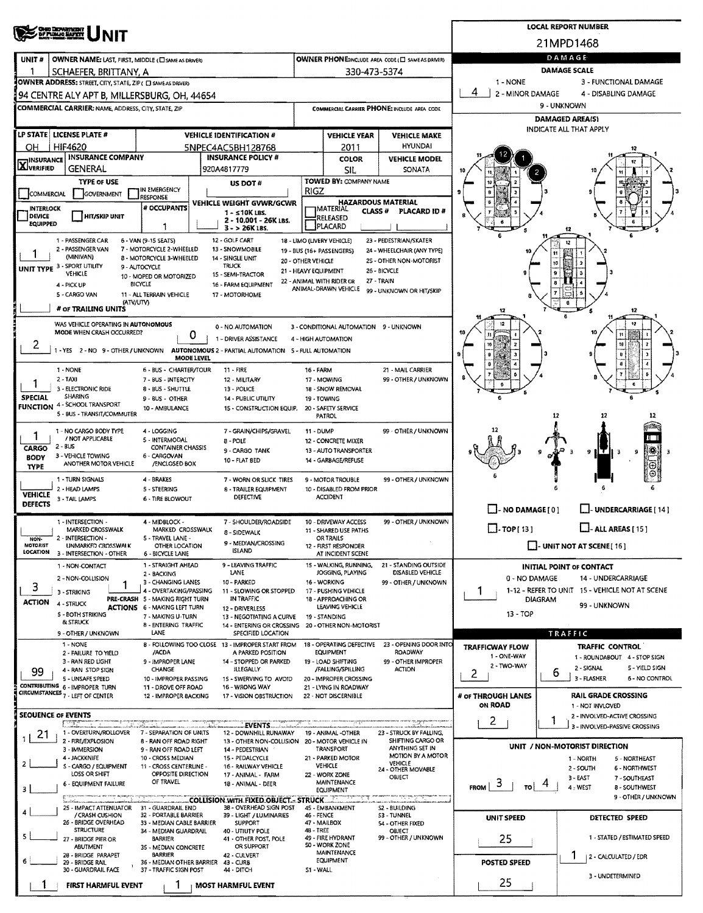|                                  | <b>CHE DEN STORT</b><br>DY PLOWG BUYTT                                                                      |                                                           | <b>LOCAL REPORT NUMBER</b> |                                                                               |                                                            |                                                       |                                                   |                                                                       |                                                                    |  |  |  |  |
|----------------------------------|-------------------------------------------------------------------------------------------------------------|-----------------------------------------------------------|----------------------------|-------------------------------------------------------------------------------|------------------------------------------------------------|-------------------------------------------------------|---------------------------------------------------|-----------------------------------------------------------------------|--------------------------------------------------------------------|--|--|--|--|
|                                  | INIT                                                                                                        |                                                           |                            |                                                                               |                                                            |                                                       |                                                   | 21MPD1468                                                             |                                                                    |  |  |  |  |
| UNIT#                            | OWNER NAME: LAST, FIRST, MIDDLE (C) SAME AS DRIVERY                                                         |                                                           |                            |                                                                               |                                                            |                                                       | OWNER PHONE:INCLUDE AREA CODE (E) SAME AS DRIVERY |                                                                       | DAMAGE                                                             |  |  |  |  |
|                                  | SCHAEFER, BRITTANY, A                                                                                       |                                                           |                            |                                                                               |                                                            | 330-473-5374                                          |                                                   | 1 - NONE                                                              | <b>DAMAGE SCALE</b><br>3 - FUNCTIONAL DAMAGE                       |  |  |  |  |
|                                  | OWNER ADDRESS: STREET, CITY, STATE, ZIP ( C) SAME AS DRIVER)<br>94 CENTRE ALY APT B, MILLERSBURG, OH, 44654 |                                                           |                            |                                                                               |                                                            |                                                       |                                                   | 4<br>2 - MINOR DAMAGE                                                 | 4 - DISABLING DAMAGE                                               |  |  |  |  |
|                                  | <b>COMMERCIAL CARRIER: NAME, ADDRESS, CITY, STATE, ZIP</b>                                                  |                                                           |                            |                                                                               |                                                            |                                                       | COMMERCIAL CARRIER PHONE: INCLUDE AREA CODE       | 9 - UNKNOWN                                                           |                                                                    |  |  |  |  |
|                                  |                                                                                                             |                                                           |                            |                                                                               |                                                            |                                                       |                                                   |                                                                       | <b>DAMAGED AREA(S)</b><br>INDICATE ALL THAT APPLY                  |  |  |  |  |
|                                  | LP STATE   LICENSE PLATE #                                                                                  |                                                           |                            | <b>VEHICLE IDENTIFICATION #</b>                                               |                                                            | <b>VEHICLE YEAR</b>                                   | <b>VEHICLE MAKE</b>                               |                                                                       |                                                                    |  |  |  |  |
| ОН                               | <b>HIF4620</b><br><b>INSURANCE INSURANCE COMPANY</b>                                                        |                                                           |                            | 5NPEC4AC5BH128768<br><b>INSURANCE POLICY #</b>                                |                                                            | 2011<br>COLOR                                         | <b>HYUNDAI</b><br><b>VEHICLE MODEL</b>            |                                                                       |                                                                    |  |  |  |  |
| <b>AJVERIFIED</b>                | GENERAL                                                                                                     |                                                           |                            | 920A4817779                                                                   |                                                            | SIL.                                                  | SONATA                                            |                                                                       |                                                                    |  |  |  |  |
|                                  | <b>TYPE OF USE</b>                                                                                          | IN EMERGENCY                                              |                            | US DOT#                                                                       | RIGZ                                                       | TOWED BY: COMPANY NAME                                |                                                   |                                                                       |                                                                    |  |  |  |  |
| COMMERCIAL<br><b>INTERLOCK</b>   | <b>GOVERNMENT</b>                                                                                           | RESPONSE<br># OCCUPANTS                                   |                            | VEHICLE WEIGHT GVWR/GCWR                                                      |                                                            |                                                       | <b>HAZARDOUS MATERIAL</b>                         |                                                                       |                                                                    |  |  |  |  |
| <b>DEVICE</b><br><b>EQUIPPED</b> | HIT/SKIP UNIT                                                                                               |                                                           |                            | $1 - 510K$ LBS.<br>2 - 10,001 - 26K LBS.                                      |                                                            | <b>JMATERIAL</b><br><b>CLASS#</b><br><b>ERELEASED</b> | PLACARD ID#                                       |                                                                       |                                                                    |  |  |  |  |
|                                  |                                                                                                             | 1                                                         |                            | $3 - 26K$ LBS.<br>12 - GOLF CART                                              |                                                            | PLACARD<br>18 - LIMO (LIVERY VEHICLE)                 | 23 - PEDESTRIAN/SKATER                            |                                                                       |                                                                    |  |  |  |  |
|                                  | 1 - PASSENGER CAR<br>2 - PASSENGER VAN                                                                      | 6 - VAN (9-15 SEATS)<br>7 - MOTORCYCLE 2-WHEELED          |                            | 13 - SNOWMOBILE                                                               |                                                            | 19 - BUS (16+ PASSENGERS)                             | 24 - WHEELCHAIR (ANY TYPE)                        |                                                                       |                                                                    |  |  |  |  |
|                                  | (MINIVAN)<br>UNIT TYPE 3 - SPORT UTILITY                                                                    | 8 - MOTORCYCLE 3-WHEELED<br>9 - AUTOCYCLE                 |                            | 14 - SINGLE UNIT<br><b>TRUCK</b>                                              | 20 - OTHER VEHICLE<br>21 - HEAVY EQUIPMENT                 |                                                       | 2S - OTHER NON-MOTORIST<br>26 - BICYCLE           |                                                                       | 10                                                                 |  |  |  |  |
|                                  | VEHICLE<br>4 - PICK UP                                                                                      | 10 - MOPED OR MOTORIZED<br>BICYCLE                        |                            | 15 - SEMI-TRACTOR<br>16 - FARM EQUIPMENT                                      |                                                            | 22 - ANIMAL WITH RIDER OR                             | 27 - TRAIN                                        |                                                                       | 9<br>$\overline{\mathbf{g}}$                                       |  |  |  |  |
|                                  | 5 - CARGO VAN<br>(ATV/UTV)                                                                                  | 11 - ALL TERRAIN VEHICLE                                  |                            | 17 - MOTORHOME                                                                |                                                            | ANIMAL-DRAWN VEHICLE                                  | 99 - UNKNOWN OR HIT/SKIP                          |                                                                       |                                                                    |  |  |  |  |
|                                  | # OF TRAILING UNITS                                                                                         |                                                           |                            |                                                                               |                                                            |                                                       |                                                   | 12                                                                    | 12                                                                 |  |  |  |  |
|                                  | WAS VEHICLE OPERATING IN AUTONOMOUS<br>MODE WHEN CRASH OCCURRED?                                            |                                                           |                            | 0 - NO AUTOMATION                                                             |                                                            | 3 - CONDITIONAL AUTOMATION 9 - UNKNOWN                |                                                   |                                                                       |                                                                    |  |  |  |  |
|                                  |                                                                                                             |                                                           | O                          | 1 - DRIVER ASSISTANCE                                                         |                                                            | 4 - HIGH AUTOMATION                                   |                                                   |                                                                       |                                                                    |  |  |  |  |
|                                  | 1 - YES 2 - NO 9 - OTHER / UNKNOWN AUTONOMOUS 2 - PARTIAL AUTOMATION 5 - FULL AUTOMATION                    |                                                           | <b>MODE LEVEL</b>          |                                                                               |                                                            |                                                       |                                                   |                                                                       |                                                                    |  |  |  |  |
|                                  | 1 - NONE<br>$2 - TAXI$                                                                                      | 6 - BUS - CHARTER/TOUR<br>7 - BUS - INTERCITY             |                            | $11 - FIRE$<br>12 - MILITARY                                                  | 16 - FARM                                                  | 17 - MOWING                                           | 21 - MAIL CARRIER<br>99 - OTHER / UNKNOWN         |                                                                       |                                                                    |  |  |  |  |
|                                  | 3 - ELECTRONIC RIDE<br><b>SHARING</b>                                                                       | 8 - BUS - SHUTTLE                                         |                            | 13 - POLICE                                                                   |                                                            | 18 - SNOW REMOVAL                                     |                                                   |                                                                       |                                                                    |  |  |  |  |
| <b>SPECIAL</b>                   | FUNCTION 4-SCHOOL TRANSPORT                                                                                 | 9 - BUS - OTHER<br>10 - AMBULANCE                         |                            | 14 - PUBLIC UTILITY<br>15 - CONSTRUCTION EQUIP.                               |                                                            | 19 - TOWING<br>20 - SAFETY SERVICE                    |                                                   |                                                                       |                                                                    |  |  |  |  |
|                                  | 5 - BUS - TRANSIT/COMMUTER                                                                                  |                                                           |                            |                                                                               |                                                            | <b>PATROL</b>                                         |                                                   |                                                                       | 12<br>12<br>12                                                     |  |  |  |  |
| 1                                | 1 - NO CARGO BODY TYPE<br>/ NOT APPLICABLE                                                                  | 4 - LOGGING<br>5 - INTERMODAL                             |                            | 7 - GRAIN/CHIPS/GRAVEL<br>8 - POLE                                            | 99 - OTHER / UNKNOWN<br>$11 - DUMP$<br>12 - CONCRETE MIXER |                                                       |                                                   |                                                                       |                                                                    |  |  |  |  |
| CARGO<br><b>BODY</b>             | $2 - BUS$<br><b>CONTAINER CHASSIS</b><br>9 - CARGO TANK<br>3 - VEHICLE TOWING<br>6 - CARGOVAN               |                                                           |                            |                                                                               |                                                            |                                                       |                                                   |                                                                       | 卷<br>9                                                             |  |  |  |  |
| <b>TYPE</b>                      | ANOTHER MOTOR VEHICLE                                                                                       | /ENCLOSED BOX                                             |                            | 10 - FLAT BED                                                                 |                                                            | 14 - GARBAGE/REFUSE                                   |                                                   |                                                                       |                                                                    |  |  |  |  |
|                                  | 1 - TURN SIGNALS<br>2 - HEAD LAMPS                                                                          | 4 - BRAKES<br>5 - STEERING                                |                            | 7 - WORN OR SLICK TIRES<br>8 - TRAILER EQUIPMENT                              |                                                            | 9 - MOTOR TROUBLE<br>10 - DISABLED FROM PRIOR         | 99 - OTHER / UNKNOWN                              |                                                                       |                                                                    |  |  |  |  |
| <b>VEHICLE</b><br><b>DEFECTS</b> | 3 - TAIL LAMPS                                                                                              | <b>6 - TIRE BLOWOUT</b>                                   |                            | DEFECTIVE                                                                     |                                                            | <b>ACCIDENT</b>                                       |                                                   |                                                                       |                                                                    |  |  |  |  |
|                                  | 1 - INTERSECTION -                                                                                          | 4 - MIDBLOCK -                                            |                            | 7 - SHOULDER/ROADSIDE                                                         | 99 - OTHER / UNKNOWN<br>10 - DRIVEWAY ACCESS               |                                                       |                                                   | - NO DAMAGE [ 0 ]                                                     | <b>UNDERCARRIAGE [ 14 ]</b>                                        |  |  |  |  |
|                                  | MARKED CROSSWALK<br>2 - INTERSECTION -                                                                      | MARKED CROSSWALK<br>5 - TRAVEL LANE -                     |                            | 8 - SIDEWALK                                                                  |                                                            | 11 - SHARED USE PATHS<br>OR TRAILS                    |                                                   | $\Box$ . TOP[13]<br>$\Box$ - ALL AREAS [ 15 ]                         |                                                                    |  |  |  |  |
| NON-<br>MOTORIST<br>LOCATION     | UNMARKED CROSSWALK                                                                                          | OTHER LOCATION<br>6 - BICYCLE LANE                        |                            | 9 - MEDIAN/CROSSING<br><b>ISLAND</b>                                          |                                                            | 12 - FIRST RESPONDER                                  |                                                   |                                                                       | UNIT NOT AT SCENE [16]                                             |  |  |  |  |
|                                  | 3 - INTERSECTION - OTHER<br>1 - NON-CONTACT                                                                 | 1 - STRAIGHT AHEAD                                        |                            | 9 - LEAVING TRAFFIC                                                           |                                                            | AT INCIDENT SCENE<br>15 - WALKING, RUNNING,           | 21 - STANDING OUTSIDE                             |                                                                       | <b>INITIAL POINT OF CONTACT</b>                                    |  |  |  |  |
|                                  | 2 - NON-COLLISION                                                                                           | 2 - BACKING<br>3 - CHANGING LANES                         |                            | LANE<br>10 - PARKED                                                           |                                                            | JOGGING, PLAYING<br>15 - WORKING                      | DISABLED VEHICLE<br>99 - OTHER / UNKNOWN          | 0 - NO DAMAGE<br><b>14 - UNDERCARRIAGE</b>                            |                                                                    |  |  |  |  |
| 3                                | 3 - STRIKING                                                                                                | 4 - OVERTAKING/PASSING<br>PRE-CRASH 5 - MAKING RIGHT TURN |                            | 11 - SLOWING OR STOPPED<br>IN TRAFFIC                                         |                                                            | 17 - PUSHING VEHICLE<br>18 - APPROACHING OR           |                                                   | 1-12 - REFER TO UNIT 15 - VEHICLE NOT AT SCENE<br>1<br><b>DIAGRAM</b> |                                                                    |  |  |  |  |
| <b>ACTION</b>                    | 4 - STRUCK<br><b>5 - BOTH STRIKING</b>                                                                      | <b>ACTIONS 6 - MAKING LEFT TURN</b>                       |                            | 12 - DRIVERLESS                                                               |                                                            | LEAVING VEHICLE                                       |                                                   | 13 - TOP                                                              | 99 - UNKNOWN                                                       |  |  |  |  |
|                                  | <b>&amp; STRUCK</b>                                                                                         | 7 - MAKING U-TURN<br>8 - ENTERING TRAFFIC                 |                            | 13 - NEGOTIATING A CURVE<br>14 - ENTERING OR CROSSING 20 - OTHER NON-MOTORIST |                                                            | 19 - STANDING                                         |                                                   |                                                                       |                                                                    |  |  |  |  |
|                                  | 9 - OTHER / UNKNOWN<br>1 - NONE                                                                             | LANE                                                      |                            | SPECIFIED LOCATION<br>8 - FOLLOWING TOO CLOSE 13 - IMPROPER START FROM        |                                                            | 18 - OPERATING DEFECTIVE                              | 23 - OPENING DOOR INTO                            | <b>TRAFFICWAY FLOW</b>                                                | TRAFFIC<br><b>TRAFFIC CONTROL</b>                                  |  |  |  |  |
|                                  | 2 - FAILURE TO YIELD<br>3 - RAN RED LIGHT                                                                   | /ACDA<br>9 - IMPROPER LANE                                |                            | A PARKED POSITION<br>14 - STOPPED OR PARKED                                   |                                                            | <b>EQUIPMENT</b><br>19 - LOAD SHIFTING                | ROADWAY<br>99 - OTHER IMPROPER                    | 1 - ONE-WAY                                                           | 1 - ROUNDABOUT 4 - STOP SIGN                                       |  |  |  |  |
| 99                               | 4 - RAN STOP SIGN<br>5 - UNSAFE SPEED                                                                       | CHANGE<br>10 - IMPROPER PASSING                           |                            | <b>ILLEGALLY</b><br>15 - SWERVING TO AVOID                                    |                                                            | /FALLING/SPILLING<br>20 - IMPROPER CROSSING           | <b>ACTION</b>                                     | 2 - TWO-WAY<br>2                                                      | 2 - SIGNAL<br>5 - YIELD SIGN<br>6<br>3 - FLASHER<br>6 - NO CONTROL |  |  |  |  |
|                                  | CONTRIBUTING 6 - IMPROPER TURN<br>CIRCUMSTANCES 7 - LEFT OF CENTER                                          | 11 - DROVE OFF ROAD                                       |                            | 16 - WRONG WAY                                                                |                                                            | 21 - LYING IN ROADWAY                                 |                                                   |                                                                       |                                                                    |  |  |  |  |
|                                  |                                                                                                             | 12 - IMPROPER BACKING                                     |                            | 17 - VISION OBSTRUCTION                                                       |                                                            | 22 - NOT DISCERNIBLE                                  |                                                   | # OF THROUGH LANES<br>ON ROAD                                         | <b>RAIL GRADE CROSSING</b><br>1 - NOT INVLOVED                     |  |  |  |  |
| SEOUENCE OF EVENTS               |                                                                                                             |                                                           |                            | EVENTS                                                                        |                                                            |                                                       |                                                   | 2                                                                     | 2 - INVOLVED-ACTIVE CROSSING<br>1                                  |  |  |  |  |
| 21                               | 1 - OVERTURN/ROLLOVER<br>2 - FIRE/EXPLOSION                                                                 | 7 - SEPARATION OF UNITS<br>8 - RAN OFF ROAD RIGHT         |                            | 12 - DOWNHILL RUNAWAY<br>13 - OTHER NON-COLLISION 20 - MOTOR VEHICLE IN       |                                                            | 19 - ANIMAL -OTHER                                    | 23 - STRUCK BY FALLING,<br>SHIFTING CARGO OR      |                                                                       | 3 - INVOLVED-PASSIVE CROSSING                                      |  |  |  |  |
|                                  | 3 - IMMERSION                                                                                               | 9 - RAN OFF ROAD LEFT                                     |                            | 14 - PEDESTRIAN                                                               |                                                            | <b>TRANSPORT</b>                                      | ANYTHING SET IN<br>MOTION BY A MOTOR              |                                                                       | UNIT / NON-MOTORIST DIRECTION                                      |  |  |  |  |
| $\overline{2}$                   | 4 - JACKKNIFE<br>S - CARGO / EQUIPMENT                                                                      | 10 - CROSS MEDIAN<br>11 - CROSS CENTERLINE -              |                            | 15 - PEDALCYCLE<br>16 - RAILWAY VEHICLE                                       |                                                            | 21 - PARKED MOTOR<br><b>VEHICLE</b>                   | VEHICLE<br>24 - OTHER MOVABLE                     |                                                                       | 1 - NORTH<br>5 - NORTHEAST<br>2 - SOUTH<br><b>6 - NORTHWEST</b>    |  |  |  |  |
|                                  | LOSS OR SHIFT<br>6 - EQUIPMENT FAILURE                                                                      | OPPOSITE DIRECTION<br>OF TRAVEL                           |                            | 17 - ANIMAL - FARM<br>18 - ANIMAL - DEER                                      |                                                            | 22 - WORK ZONE<br>MAINTENANCE                         | OBJECT                                            | 3<br><b>FROM</b><br>TO I                                              | 3 - EAST<br>7 - SOUTHEAST<br>4 - WEST<br><b>B-SOUTHWEST</b>        |  |  |  |  |
| з                                | ann daoin                                                                                                   |                                                           |                            | COLLISION.WITH.FIXED.OBJECT STRUCK.                                           |                                                            | EQUIPMENT                                             |                                                   |                                                                       | 9 - OTHER / UNKNOWN                                                |  |  |  |  |
| 4                                | 25 - IMPACT ATTENUATOR 31 - GUARDRAIL END<br>/ CRASH CUSHION                                                | 32 - PORTABLE BARRIER                                     |                            | 38 - OVERHEAD SIGN POST<br>39 - LIGHT / LUMINARIES                            | 46 - FENCE                                                 | 45 - EMBANKMENT                                       | 52 - BUILDING<br>53 - TUNNEL                      | UNIT SPEED                                                            | DETECTED SPEED                                                     |  |  |  |  |
|                                  | 26 - BRIDGE OVERHEAD<br><b>STRUCTURE</b>                                                                    | 33 - MEDIAN CABLE BARRIER<br>34 - MEDIAN GUARDRAIL        |                            | <b>SUPPORT</b><br>40 - UTIUTY POLE                                            | 48 - TREE                                                  | 47 - MAILBOX                                          | 54 - OTHER FIXED<br>OBJECT                        |                                                                       |                                                                    |  |  |  |  |
| 5                                | 27 - BRIDGE PIER OR<br><b>ABUTMENT</b>                                                                      | <b>BARRIER</b><br>35 - MEDIAN CONCRETE                    |                            | 41 - OTHER POST, POLE<br>OR SUPPORT                                           |                                                            | 49 - FIRE HYDRANT<br>50 - WORK ZONE                   | 99 - OTHER / UNKNOWN                              | 25                                                                    | 1 - STATED / ESTIMATED SPEED                                       |  |  |  |  |
| 6                                | 28 - BRIDGE PARAPET<br>29 - BRIDGE RAIL                                                                     | <b>BARRIER</b><br>36 - MEDIAN OTHER BARRIER               |                            | 42 - CULVERT<br>43 - CURB                                                     |                                                            | MAINTENANCE<br>EQUIPMENT                              |                                                   | <b>POSTED SPEED</b>                                                   | ı<br>2 - CALCULATED / EDR                                          |  |  |  |  |
|                                  | 30 - GUARDRAIL FACE                                                                                         | 37 - TRAFFIC SIGN POST                                    |                            | 44 - DITCH                                                                    | S1 - WALL                                                  |                                                       |                                                   |                                                                       | 3 - UNDETERMINED                                                   |  |  |  |  |
|                                  | <b>FIRST HARMFUL EVENT</b>                                                                                  |                                                           |                            | <b>MOST HARMFUL EVENT</b>                                                     |                                                            |                                                       |                                                   | 25                                                                    |                                                                    |  |  |  |  |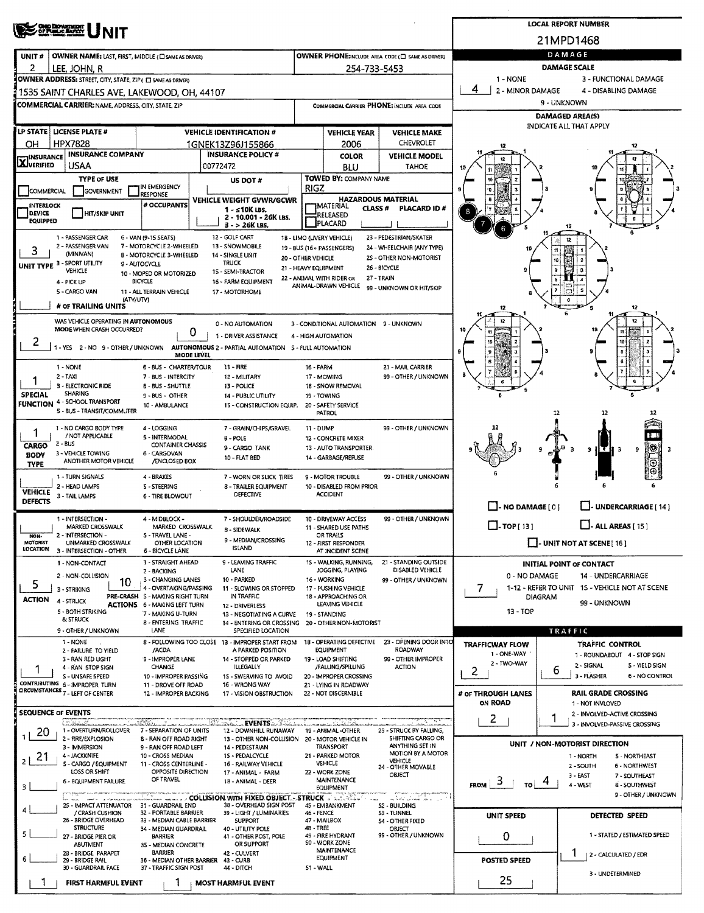| OND DEPARTMENT                                                                                                              | <b>LOCAL REPORT NUMBER</b>                                                                            |                                                                |                                                          |                                                                                            |                                                                    |  |  |  |
|-----------------------------------------------------------------------------------------------------------------------------|-------------------------------------------------------------------------------------------------------|----------------------------------------------------------------|----------------------------------------------------------|--------------------------------------------------------------------------------------------|--------------------------------------------------------------------|--|--|--|
|                                                                                                                             |                                                                                                       |                                                                |                                                          | 21MPD1468                                                                                  |                                                                    |  |  |  |
| OWNER NAME: LAST, FIRST, MIDDLE (C) SAME AS DRIVER)<br>UNIT#                                                                |                                                                                                       | DAMAGE                                                         |                                                          |                                                                                            |                                                                    |  |  |  |
| 2<br>lee, John, R                                                                                                           |                                                                                                       | 254-733-5453                                                   |                                                          | 1 - NONE                                                                                   | DAMAGE SCALE<br>3 - FUNCTIONAL DAMAGE                              |  |  |  |
| OWNER ADDRESS: STREET, CITY, STATE, ZIP ( C) SAME AS DRIVERY<br>1535 SAINT CHARLES AVE, LAKEWOOD, OH, 44107                 |                                                                                                       | 4<br>2 - MINOR DAMAGE<br>4 - DISABLING DAMAGE                  |                                                          |                                                                                            |                                                                    |  |  |  |
| COMMERCIAL CARRIER: NAME, ADDRESS, CITY, STATE, ZIP                                                                         |                                                                                                       |                                                                | COMMERCIAL CARRIER PHONE: INCLUDE AREA CODE              |                                                                                            | 9 - UNKNOWN                                                        |  |  |  |
|                                                                                                                             |                                                                                                       |                                                                |                                                          |                                                                                            | DAMAGED AREA(S)                                                    |  |  |  |
| LP STATE   LICENSE PLATE #<br><b>VEHICLE IDENTIFICATION #</b>                                                               | <b>VEHICLE MAKE</b>                                                                                   |                                                                | INDICATE ALL THAT APPLY                                  |                                                                                            |                                                                    |  |  |  |
| <b>HPX7828</b><br>OН                                                                                                        | 1GNEK13Z96J155866                                                                                     | 2006                                                           | CHEVROLET                                                |                                                                                            |                                                                    |  |  |  |
| <b>INSURANCE COMPANY</b><br><b>X</b> INSURANCE<br><b>USAA</b><br>00772472                                                   | <b>INSURANCE POLICY #</b>                                                                             | <b>COLOR</b><br>BLU                                            | <b>VEHICLE MODEL</b><br><b>TAHOE</b>                     |                                                                                            |                                                                    |  |  |  |
| <b>TYPE OF USE</b>                                                                                                          | US DOT #                                                                                              | TOWED BY: COMPANY NAME                                         |                                                          |                                                                                            |                                                                    |  |  |  |
| IN EMERGENCY<br>COMMERCIAL<br>GOVERNMENT<br><b>RESPONSE</b>                                                                 | <b>RIGZ</b>                                                                                           |                                                                |                                                          |                                                                                            |                                                                    |  |  |  |
| # OCCUPANTS<br><b>INTERLOCK</b><br><b>DEVICE</b>                                                                            | VEHICLE WEIGHT GVWR/GCWR<br>$1 - 510K$ LBS.                                                           | <b>HAZARDOUS MATERIAL</b><br><b>TMATERIAL</b><br><b>CLASS#</b> | PLACARD ID #                                             |                                                                                            |                                                                    |  |  |  |
| HIT/SKIP UNIT<br><b>EQUIPPED</b>                                                                                            | 2 - 10.001 - 26K LBS.<br>$3 - 26K$ LBS.                                                               | RELEASED<br>PLACARD                                            |                                                          |                                                                                            | 12                                                                 |  |  |  |
| 1 - PASSENGER CAR<br>6 - VAN (9-15 SEATS)                                                                                   | 12 - GOLF CART<br>1B - LIMO (LIVERY VEHICLE)                                                          |                                                                | 23 - PEDESTRIAN/SKATER                                   |                                                                                            |                                                                    |  |  |  |
| 2 - PASSENGER VAN<br>7 - MOTORCYCLE 2-WHEELED<br>3<br>(MINIVAN)<br>B - MOTORCYCLE 3-WHEELED                                 | 13 - SNOWMOBILE<br>19 - BUS (16+ PASSENGERS)<br>14 - SINGLE UNIT<br>20 - OTHER VEHICLE                |                                                                | 24 - WHEELCHAIR (ANY TYPE)<br>2S - OTHER NON-MOTORIST    |                                                                                            |                                                                    |  |  |  |
| UNIT TYPE 3 - SPORT UTILITY<br>9 - AUTOCYCLE<br>VEHICLE<br>10 - MOPED OR MOTORIZED                                          | <b>TRUCK</b><br>21 - HEAVY EQUIPMENT<br>15 - SEMI-TRACTOR                                             |                                                                | 26 - BICYCLE                                             |                                                                                            |                                                                    |  |  |  |
| <b>BICYCLE</b><br>4 - PICK UP                                                                                               | 22 - ANIMAL WITH RIDER OR<br>16 - FARM EQUIPMENT                                                      | 27 - TRAIN<br>ANIMAL-DRAWN VEHICLE                             | 99 - UNKNOWN OR HIT/SKIP                                 |                                                                                            |                                                                    |  |  |  |
| 5 - CARGO VAN<br>11 - ALL TERRAIN VEHICLE<br>(ATV/UTV)                                                                      | 17 - MOTORHOME                                                                                        |                                                                |                                                          |                                                                                            |                                                                    |  |  |  |
| # OF TRAILING UNITS                                                                                                         |                                                                                                       |                                                                |                                                          |                                                                                            | 12                                                                 |  |  |  |
| WAS VEHICLE OPERATING IN AUTONOMOUS<br>MODE WHEN CRASH OCCURRED?<br>0                                                       | 0 - NO AUTOMATION                                                                                     | 3 - CONDITIONAL AUTOMATION 9 - UNKNOWN                         |                                                          |                                                                                            |                                                                    |  |  |  |
| 2<br>1-YES 2-NO 9-OTHER/UNKNOWN                                                                                             | 1 - DRIVER ASSISTANCE<br>4 - HIGH AUTOMATION<br>AUTONOMOUS 2 - PARTIAL AUTOMATION 5 - FULL AUTOMATION |                                                                |                                                          |                                                                                            |                                                                    |  |  |  |
| <b>MODE LEVEL</b>                                                                                                           |                                                                                                       |                                                                |                                                          |                                                                                            |                                                                    |  |  |  |
| $1 - NONE$<br>6 - BUS - CHARTER/TOUR<br>2 - TAXI<br>7 - BUS - INTERCITY                                                     | 11 - FIRE<br><b>16 - FARM</b><br>12 - MILITARY                                                        | 17 - MOWING                                                    | 21 - MAIL CARRIER<br>99 - OTHER / UNKNOWN                |                                                                                            |                                                                    |  |  |  |
| 3 - ELECTRONIC RIDE<br><b>B - BUS - SHUTTLE</b>                                                                             | 13 - POLICE                                                                                           | 18 - SNOW REMOVAL                                              |                                                          |                                                                                            |                                                                    |  |  |  |
| <b>SHARING</b><br><b>SPECIAL</b><br>9 - BUS - OTHER<br>4 - SCHOOL TRANSPORT<br><b>FUNCTION</b><br>10 - AMBULANCE            | <b>14 - PUBLIC UTILITY</b><br>15 - CONSTRUCTION EQUIP.                                                | 19 - TOWING<br>20 - SAFETY SERVICE                             |                                                          |                                                                                            |                                                                    |  |  |  |
| 5 - BUS - TRANSIT/COMMUTER                                                                                                  |                                                                                                       | PATROL                                                         |                                                          |                                                                                            | 12<br>32                                                           |  |  |  |
| 1 - NO CARGO BODY TYPE<br>4 - LOGGING<br>/ NOT APPLICABLE<br>5 - INTERMODAL                                                 | 7 - GRAIN/CHIPS/GRAVEL<br>11 - DUMP                                                                   |                                                                | 99 - OTHER / UNKNOWN                                     |                                                                                            |                                                                    |  |  |  |
| 2 - BUS<br><b>CONTAINER CHASSIS</b><br><b>CARGO</b>                                                                         | $B - POLE$<br>9 - CARGO TANK                                                                          | 12 - CONCRETE MIXER<br>13 - AUTO TRANSPORTER                   |                                                          |                                                                                            | B<br>9                                                             |  |  |  |
| 3 - VEHICLE TOWING<br>6 - CARGOVAN<br><b>BODY</b><br>10 - FLAT BED<br>ANOTHER MOTOR VEHICLE<br>/ENCLOSED BOX<br><b>TYPE</b> |                                                                                                       |                                                                |                                                          |                                                                                            |                                                                    |  |  |  |
| 1 - TURN SIGNALS<br>4 - BRAKES                                                                                              | 7 - WORN OR SLICK TIRES                                                                               | 9 - MOTOR TROUBLE                                              | 99 - OTHER / UNKNOWN                                     |                                                                                            |                                                                    |  |  |  |
| 2 - HEAD LAMPS<br>S - STEERING<br><b>VEHICLE</b><br>3 - TAIL LAMPS<br>6 - TIRE BLOWOUT                                      | 8 - TRAILER EQUIPMENT<br>DEFECTIVE                                                                    | 10 - DISABLED FROM PRIOR<br><b>ACCIDENT</b>                    |                                                          |                                                                                            |                                                                    |  |  |  |
| <b>DEFECTS</b>                                                                                                              |                                                                                                       |                                                                |                                                          | $\Box$ - NO DAMAGE [ 0 ]                                                                   | UNDERCARRIAGE [ 14 ]                                               |  |  |  |
| 1 - INTERSECTION -<br>4 - MIDBLOCK -<br>MARKED CROSSWALK<br>MARKED CROSSWALK.                                               | 7 - SHOULDER/ROADSIDE                                                                                 | 10 - DRIVEWAY ACCESS<br>11 - SHARED USE PATHS                  | 99 - OTHER / UNKNOWN                                     | $\Box$ -TOP[13]<br>$\Box$ - ALL AREAS [ 15 ]                                               |                                                                    |  |  |  |
| 2 - INTERSECTION -<br>S - TRAVEL LANE -<br>NON-<br>MOTORIST<br>UNMARKED CROSSWALK                                           | 8 - SIDEWALK<br>9 - MEDIAN/CROSSING                                                                   | OR TRAILS                                                      |                                                          |                                                                                            | $\Box$ - UNIT NOT AT SCENE [16]                                    |  |  |  |
| OTHER LOCATION<br><b>LOCATION</b><br>3 - INTERSECTION - OTHER<br>6 - BICYCLE LANE                                           | <b>ISLAND</b>                                                                                         | 12 - FIRST RESPONDER<br>AT INCIDENT SCENE                      |                                                          |                                                                                            |                                                                    |  |  |  |
| 1 - STRAIGHT AHEAD<br>1 - NON-CONTACT<br>2 - BACKING                                                                        | 9 - LEAVING TRAFFIC<br>LANE                                                                           | 15 - WALKING, RUNNING,<br>JOGGING, PLAYING                     | 21 - STANDING OUTSIDE<br>DISABLED VEHICLE                |                                                                                            | INITIAL POINT OF CONTACT                                           |  |  |  |
| 2 - NON-COLLISION<br>3 - CHANGING LANES<br>10<br>5<br>4 - OVERTAKING/PASSING                                                | 10 - PARKED                                                                                           | 16 - WORKING                                                   | 99 - OTHER / UNKNOWN                                     | 0 - NO DAMAGE<br>14 - UNDERCARRIAGE<br>1-12 - REFER TO UNIT 15 - VEHICLE NOT AT SCENE<br>7 |                                                                    |  |  |  |
| 3 - STRIKING<br>PRE-CRASH S - MAKING RIGHT TURN<br>ACTION<br>4 - STRUCK                                                     | 11 - SLOWING OR STOPPED<br>IN TRAFFIC                                                                 | 17 - PUSHING VEHICLE<br>1B - APPROACHING OR                    |                                                          |                                                                                            | <b>DIAGRAM</b>                                                     |  |  |  |
| <b>ACTIONS 6 - MAKING LEFT TURN</b><br><b>S - BOTH STRIKING</b><br>7 - MAKING U-TURN                                        | 12 - DRIVERLESS<br>13 - NEGOTIATING A CURVE                                                           | LEAVING VEHICLE<br>19 - STANDING                               |                                                          | $13 - TOP$                                                                                 | 99 - UNKNOWN                                                       |  |  |  |
| & STRUCK<br>8 - ENTERING TRAFFIC<br>LANE<br>9 - OTHER / UNKNOWN                                                             | 14 - ENTERING OR CROSSING<br>SPECIFIED LOCATION                                                       | 20 - OTHER NON-MOTORIST                                        |                                                          |                                                                                            | TRAFFIC                                                            |  |  |  |
| 8 - FOLLOWING TOO CLOSE 13 - IMPROPER START FROM<br>1 - NONE                                                                |                                                                                                       | 18 - OPERATING DEFECTIVE                                       | 23 - OPENING DOOR INTO                                   | <b>TRAFFICWAY FLOW</b>                                                                     | TRAFFIC CONTROL                                                    |  |  |  |
| /ACDA<br>2 - FAILURE TO YIELD<br>3 - RAN RED UGHT<br>9 - IMPROPER LANE                                                      | A PARKED POSITION<br>14 - STOPPED OR PARKED                                                           | EQUIPMENT<br>19 - LOAD SHIFTING                                | ROADWAY<br>99 - OTHER IMPROPER                           | 1 ONE WAY<br>2 - TWO-WAY                                                                   | 1 - ROUNDABOUT 4 - STOP SIGN                                       |  |  |  |
| CHANGE<br>4 - RAN STOP SIGN<br><b>S - UNSAFE SPEED</b><br>10 - IMPROPER PASSING                                             | <b>ILLEGALLY</b><br>15 - SWERVING TO AVOID                                                            | /FALLING/SPILLING<br>20 - IMPROPER CROSSING                    | <b>ACTION</b>                                            | $\overline{2}$                                                                             | 2 - SIGNAL<br>S - YIELD SIGN<br>6<br>3 - FLASHER<br>6 - NO CONTROL |  |  |  |
| CONTRIBUTING 6-IMPROPER TURN<br>11 - DROVE OFF ROAD<br>CIRCUMSTANCES 7 - LEFT OF CENTER                                     | 16 - WRONG WAY                                                                                        | 21 - LYING IN ROADWAY                                          |                                                          |                                                                                            | <b>RAIL GRADE CROSSING</b>                                         |  |  |  |
| 12 - IMPROPER BACKING                                                                                                       | 17 - VISION OBSTRUCTION                                                                               | 22 - NOT DISCERNIBLE                                           |                                                          | # OF THROUGH LANES<br>ON ROAD                                                              | 1 - NOT INVLOVED                                                   |  |  |  |
| <b>SEQUENCE OF EVENTS</b><br>a Barakt<br><b>Charles</b>                                                                     | <b>EVENTS And Line And Line Address</b><br>markan ka                                                  |                                                                | متحافظ وسيكسبطون                                         | 2                                                                                          | 2 - INVOLVED-ACTIVE CROSSING<br>1<br>3 - INVOLVED-PASSIVE CROSSING |  |  |  |
| 1 - OVERTURN/ROLLOVER<br>7 - SEPARATION OF UNITS<br>Z0<br>2 - FIRE/EXPLOSION<br>8 - RAN OFF ROAD RIGHT                      | 12 - DOWNHILL RUNAWAY<br>13 - OTHER NON-COLLISION                                                     | 19 - ANIMAL -OTHER<br>20 - MOTOR VEHICLE IN                    | 23 - STRUCK BY FALLING,<br>SHIFTING CARGO OR             |                                                                                            |                                                                    |  |  |  |
| 3 - IMMERSION<br>9 - RAN OFF ROAD LEFT                                                                                      | 14 - PEDESTRIAN                                                                                       | TRANSPORT                                                      | ANYTHING SET IN<br>MOTION BY A MOTOR                     |                                                                                            | UNIT / NON-MOTORIST DIRECTION                                      |  |  |  |
| 4 - JACKKNIFE<br>21<br>10 - CROSS MEDIAN<br>2<br>5 - CARGO / EQUIPMENT<br>11 - CROSS CENTERLINE -                           | 15 - PEDALCYCLE<br>16 - RAILWAY VEHICLE                                                               | 21 - PARKED MOTOR<br>VEHICLE                                   | <b>VEHICLE</b><br>24 - OTHER MOVABLE                     |                                                                                            | <b>S-NORTHEAST</b><br>1 - NORTH<br>2-SOUTH<br>6 - NORTHWEST        |  |  |  |
| LOSS OR SHIFT<br>OPPOSITE DIRECTION<br>OF TRAVEL<br>6 - EQUIPMENT FAILURE                                                   | 17 - ANIMAL - FARM<br>18 - ANIMAL - DEER                                                              | 22 - WORK ZONE<br>MAINTENANCE                                  | OBJECT                                                   | 3                                                                                          | $3 - EAST$<br>7 - SOUTHEAST                                        |  |  |  |
| з                                                                                                                           | ستَنْتَقْتَ الْمُسْتَخِيرَ بِيَا بِيَا الْمُتَحَافِظَةِ الْمُتَحَافِظَةِ الْمُتَحَافِظَةِ الْمُسْتَخ  | EQUIPMENT                                                      |                                                          | <b>FROM</b><br>TO !                                                                        | 4 - WEST<br>8 - SOUTHWEST<br>9 - OTHER / UNKNOWN                   |  |  |  |
| 25 - IMPACT ATTENUATOR 31 - GUARDRAIL END<br>/ CRASH CUSHION<br>32 - PORTABLE BARRIER                                       | 38 - OVERHEAD SIGN POST<br>39 - LIGHT / LUMINARIES<br>46 - FENCE                                      | 45 - EMBANKMENT                                                | a beraha kalendar<br>52 - BUILDING<br><b>S3 - TUNNEL</b> |                                                                                            |                                                                    |  |  |  |
| 26 - BRIDGE OVERHEAD<br>33 - MEDIAN CABLE BARRIER                                                                           | <b>SUPPORT</b>                                                                                        | 47 - MAILBOX                                                   | 54 - OTHER FIXED                                         | UNIT SPEED                                                                                 | DETECTED SPEED                                                     |  |  |  |
| <b>STRUCTURE</b><br>34 - MEDIAN GUARDRAIL<br>5<br>27 - BRIDGE PIER OR<br><b>BARRIER</b>                                     | 48 - TREE<br>40 - UTIUTY POLE<br>41 - OTHER POST, POLE                                                | 49 - FIRE HYDRANT                                              | OBJECT<br>99 - OTHER / UNKNOWN                           | O                                                                                          | 1 - STATED / ESTIMATED SPEED                                       |  |  |  |
| <b>ABUTMENT</b><br>35 - MEDIAN CONCRETE<br>28 - BRIDGE PARAPET<br><b>BARRIER</b>                                            | OR SUPPORT<br>42 - CULVERT                                                                            | SO - WORK ZONE<br><b>MAINTENANCE</b>                           |                                                          |                                                                                            | 2 - CALCULATED / EDR                                               |  |  |  |
| 6<br>29 - BRIDGE RAIL<br>36 - MEDIAN OTHER BARRIER<br>30 - GUARDRAIL FACE<br>37 - TRAFFIC SIGN POST                         | 43 - CURB<br>44 - DITCH<br>51 - WALL                                                                  | EQUIPMENT                                                      |                                                          | <b>POSTED SPEED</b>                                                                        |                                                                    |  |  |  |
| <b>FIRST HARMFUL EVENT</b>                                                                                                  | <b>MOST HARMFUL EVENT</b>                                                                             |                                                                |                                                          | 25                                                                                         | 3 - UNDETERMINED                                                   |  |  |  |
|                                                                                                                             |                                                                                                       |                                                                |                                                          |                                                                                            |                                                                    |  |  |  |

 $\bar{\tau}$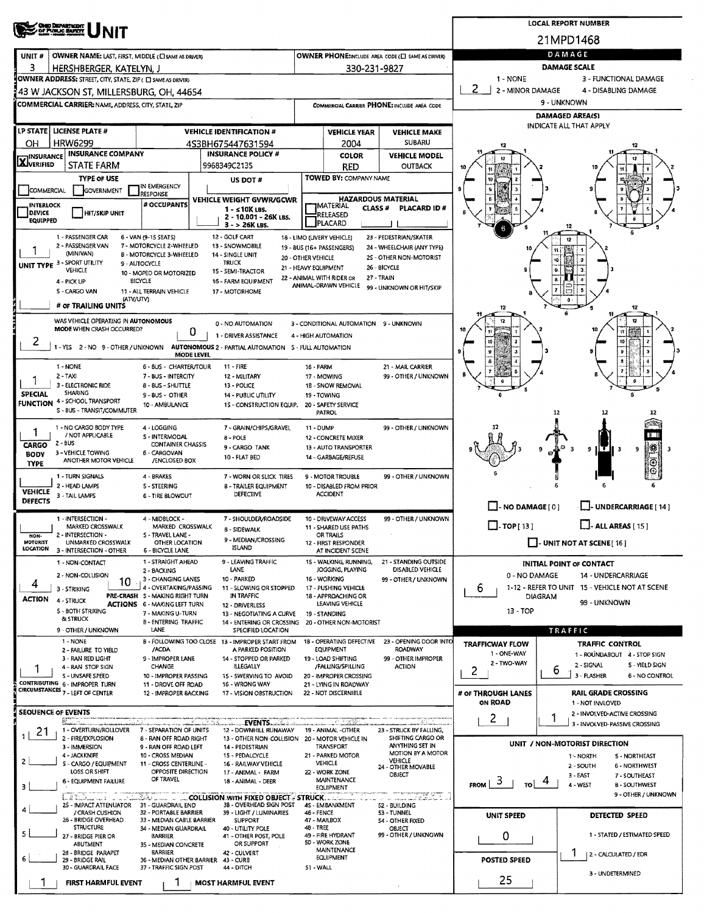|                                    | <b>CHIO DEPARTMENT</b><br>OF PUBLIC ENFITT                                      |                                                                        |                                                  |                                                                         |                                                 |                                                 |                                                           |                                                     | <b>LOCAL REPORT NUMBER</b>        |                                                               |  |  |  |
|------------------------------------|---------------------------------------------------------------------------------|------------------------------------------------------------------------|--------------------------------------------------|-------------------------------------------------------------------------|-------------------------------------------------|-------------------------------------------------|-----------------------------------------------------------|-----------------------------------------------------|-----------------------------------|---------------------------------------------------------------|--|--|--|
|                                    |                                                                                 |                                                                        | 21MPD1468                                        |                                                                         |                                                 |                                                 |                                                           |                                                     |                                   |                                                               |  |  |  |
| UNIT#                              | OWNER NAME: LAST, FIRST, MIDDLE (C) SAME AS DRIVERY                             |                                                                        |                                                  |                                                                         |                                                 |                                                 | OWNER PHONE:INCLUDE AREA CODE (E) SAME AS DRIVERY         |                                                     | DAMAGE                            |                                                               |  |  |  |
| з                                  | HERSHBERGER, KATELYN, J                                                         |                                                                        | 330-231-9827                                     | <b>DAMAGE SCALE</b>                                                     |                                                 |                                                 |                                                           |                                                     |                                   |                                                               |  |  |  |
|                                    | OWNER ADDRESS: STREET, CITY, STATE, ZIP ( O SAME AS DRIVER)                     |                                                                        |                                                  |                                                                         |                                                 |                                                 |                                                           | 1 - NONE<br>3 - FUNCTIONAL DAMAGE                   |                                   |                                                               |  |  |  |
|                                    | 43 W JACKSON ST, MILLERSBURG, OH, 44654                                         |                                                                        |                                                  |                                                                         |                                                 |                                                 |                                                           | 2<br>$\mathbf{1}$<br>2 - MINOR DAMAGE               |                                   | 4 - DISABLING DAMAGE                                          |  |  |  |
|                                    | COMMERCIAL CARRIER: NAME, ADDRESS, CITY, STATE, ZIP                             |                                                                        |                                                  |                                                                         |                                                 |                                                 | COMMERCIAL CARRIER PHONE: INCLUDE AREA CODE               |                                                     | 9 - UNKNOWN                       |                                                               |  |  |  |
|                                    |                                                                                 |                                                                        |                                                  |                                                                         |                                                 |                                                 |                                                           |                                                     | <b>DAMAGED AREA(S)</b>            |                                                               |  |  |  |
| LP STATE                           | <b>LICENSE PLATE#</b>                                                           |                                                                        | <b>VEHICLE IDENTIFICATION #</b>                  |                                                                         |                                                 | <b>VEHICLE YEAR</b>                             | <b>VEHICLE MAKE</b>                                       |                                                     | INDICATE ALL THAT APPLY           |                                                               |  |  |  |
| OН                                 | <b>HRW6299</b>                                                                  |                                                                        | 4S3BH675447631594                                |                                                                         |                                                 | 2004                                            | <b>SUBARU</b>                                             |                                                     |                                   |                                                               |  |  |  |
| <b>X</b> INSURANCE                 | <b>INSURANCE COMPANY</b>                                                        |                                                                        | <b>INSURANCE POLICY #</b>                        |                                                                         |                                                 | <b>COLOR</b>                                    | <b>VEHICLE MODEL</b>                                      |                                                     |                                   |                                                               |  |  |  |
|                                    | STATE FARM<br><b>TYPE OF USE</b>                                                |                                                                        | 9968349C2135                                     |                                                                         |                                                 | RED<br>TOWED BY: COMPANY NAME                   | <b>OUTBACK</b>                                            |                                                     |                                   |                                                               |  |  |  |
| COMMERCIAL                         | <b>GOVERNMENT</b>                                                               | IN EMERGENCY                                                           | US DOT#                                          |                                                                         |                                                 |                                                 |                                                           |                                                     |                                   |                                                               |  |  |  |
| <b>INTERLOCK</b>                   |                                                                                 | <b>RESPONSE</b><br># OCCUPANTS                                         | VEHICLE WEIGHT GVWR/GCWR                         |                                                                         |                                                 |                                                 | <b>HAZARDOUS MATERIAL</b>                                 |                                                     |                                   |                                                               |  |  |  |
| DEVICE                             | <b>HIT/SKIP UNIT</b>                                                            |                                                                        | $1 - 510K$ LBS.                                  | 2 - 10.001 - 26K LBS.                                                   | <b>JMATERIAL</b><br>RELEASED                    | CLASS <sup>#</sup>                              | PLACARD ID#                                               |                                                     |                                   |                                                               |  |  |  |
| <b>EQUIPPED</b>                    |                                                                                 |                                                                        | 3 - > 26K LBS.                                   |                                                                         | <b>PLACARD</b>                                  |                                                 |                                                           |                                                     | 12                                |                                                               |  |  |  |
|                                    | 1 - PASSENGER CAR<br>2 - PASSENGER VAN                                          | 6 - VAN (9-15 SEATS)                                                   | 12 - GOLF CART                                   |                                                                         | 18 - LIMO (LIVERY VEHICLE)                      |                                                 | 23 - PEDESTRIAN/SKATER                                    |                                                     |                                   |                                                               |  |  |  |
|                                    | (MINIVAN)                                                                       | 7 - MOTORCYCLE 2-WHEELED<br><b>8 - MOTORCYCLE 3-WHEELED</b>            | 13 - SNOWMOBILE<br>14 - SINGLE UNIT              |                                                                         | 19 - BUS (16+ PASSENGERS)<br>20 - OTHER VEHICLE |                                                 | 24 - WHEELCHAIR (ANY TYPE)<br>2S - OTHER NON-MOTORIST     |                                                     |                                   |                                                               |  |  |  |
|                                    | <b>UNIT TYPE 3 - SPORT UTILITY</b><br><b>VEHICLE</b>                            | 9 - AUTOCYCLE                                                          | <b>TRUCK</b><br>15 - SEMI-TRACTOR                |                                                                         | 21 - HEAVY EQUIPMENT                            |                                                 | 26 - BICYCLE                                              |                                                     |                                   |                                                               |  |  |  |
|                                    | 4 - PICK UP                                                                     | 10 - MOPED OR MOTORIZED<br>BICYCLE                                     | 16 - FARM EQUIPMENT                              |                                                                         | 22 - ANIMAL WITH RIDER OR                       |                                                 | 27 - TRAIN                                                |                                                     |                                   |                                                               |  |  |  |
|                                    | 5 - CARGO VAN                                                                   | 11 - ALL TERRAIN VEHICLE                                               | 17 - MOTORHOME                                   |                                                                         | ANIMAL-DRAWN VEHICLE                            |                                                 | 99 - UNKNOWN OR HIT/SKIP                                  |                                                     |                                   |                                                               |  |  |  |
|                                    | (ATV/UTV)<br># OF TRAILING UNITS                                                |                                                                        |                                                  |                                                                         |                                                 |                                                 |                                                           |                                                     |                                   | 12                                                            |  |  |  |
|                                    | WAS VEHICLE OPERATING IN AUTONOMOUS                                             |                                                                        | 0 - NO AUTOMATION                                |                                                                         |                                                 |                                                 | 3 - CONDITIONAL AUTOMATION 9 - UNKNOWN                    |                                                     |                                   | 12                                                            |  |  |  |
|                                    | MODE WHEN CRASH OCCURRED?                                                       | 0                                                                      | 1 - DRIVER ASSISTANCE                            |                                                                         | 4 - HIGH AUTOMATION                             |                                                 |                                                           |                                                     |                                   |                                                               |  |  |  |
| 2                                  | 1 - YES 2 - NO 9 - OTHER / UNKNOWN                                              |                                                                        |                                                  | AUTONOMOUS 2 - PARTIAL AUTOMATION 5 - FULL AUTOMATION                   |                                                 |                                                 |                                                           |                                                     |                                   |                                                               |  |  |  |
|                                    |                                                                                 | <b>MODE LEVEL</b>                                                      |                                                  |                                                                         |                                                 |                                                 |                                                           |                                                     |                                   |                                                               |  |  |  |
|                                    | 1 - NONE<br>$2 - TAX$                                                           | 6 - BUS - CHARTER/TOUR<br>7 - BUS - INTERCITY                          | $11 - FIRE$<br>12 - MILITARY                     |                                                                         | 16 - FARM<br>17 - MOWING                        |                                                 | 21 - MAIL CARRIER<br>99 - OTHER / UNKNOWN                 |                                                     |                                   |                                                               |  |  |  |
|                                    | 3 - ELECTRONIC RIDE                                                             | 13 - POLICE                                                            | 1B - SNOW REMOVAL                                |                                                                         |                                                 |                                                 |                                                           |                                                     |                                   |                                                               |  |  |  |
| <b>SPECIAL</b><br><b>FUNCTION</b>  | <b>SHARING</b><br>4 - SCHOOL TRANSPORT                                          | 9 - BUS - OTHER                                                        |                                                  | 14 - PUBLIC UTILITY                                                     | 19 - TOWING                                     |                                                 |                                                           |                                                     |                                   |                                                               |  |  |  |
|                                    | S - BUS - TRANSIT/COMMUTER                                                      | 10 - AMBULANCE                                                         |                                                  | 1S - CONSTRUCTION EQUIP.                                                | 20 - SAFETY SERVICE<br><b>PATROL</b>            |                                                 |                                                           |                                                     | 12                                | 12<br>12                                                      |  |  |  |
|                                    | 1 - NO CARGO BODY TYPE                                                          | 4 - LOGGING                                                            |                                                  | 7 - GRAIN/CHIPS/GRAVEL                                                  | <b>11 - DUMP</b>                                |                                                 | 99 - OTHER / UNKNOWN                                      |                                                     |                                   |                                                               |  |  |  |
| 1                                  | / NOT APPLICABLE<br>$2 - BUS$                                                   | 5 - INTERMODAL<br><b>CONTAINER CHASSIS</b>                             | 8 - POLE                                         |                                                                         | 12 - CONCRETE MIXER                             |                                                 |                                                           |                                                     |                                   | ा म                                                           |  |  |  |
| CARGO<br><b>BODY</b>               | 3 - VEHICLE TOWING                                                              | 6 - CARGOVAN                                                           | 9 - CARGO TANK<br>10 - FLAT BED                  |                                                                         | 14 - GARBAGE/REFUSE                             | 13 - AUTO TRANSPORTER                           |                                                           |                                                     |                                   | ∥₩<br>9<br>9<br>з                                             |  |  |  |
| <b>TYPE</b>                        | ANOTHER MOTOR VEHICLE                                                           | /ENCLOSED BOX                                                          |                                                  |                                                                         |                                                 |                                                 |                                                           |                                                     |                                   | ⊕                                                             |  |  |  |
|                                    | 1 - TURN SIGNALS                                                                | 4 - BRAKES                                                             |                                                  | 7 - WORN OR SLICK TIRES                                                 | 9 - MOTOR TROUBLE                               |                                                 | 99 - OTHER / UNKNOWN                                      |                                                     |                                   | 6                                                             |  |  |  |
| <b>VEHICLE</b>                     | 2 - HEAD LAMPS<br>3 - TAIL LAMPS                                                | 5 - STEERING<br>6 - TIRE BLOWOUT                                       |                                                  | 8 - TRAILER EQUIPMENT<br>DEFECTIVE                                      | <b>ACCIDENT</b>                                 | 10 - DISABLED FROM PRIOR                        |                                                           |                                                     |                                   |                                                               |  |  |  |
| <b>DEFECTS</b>                     |                                                                                 |                                                                        |                                                  |                                                                         |                                                 |                                                 |                                                           | $\Box$ - NO DAMAGE [ 0 ]                            |                                   | L. UNDERCARRIAGE [ 14 ]                                       |  |  |  |
|                                    | 1 - INTERSECTION -                                                              | 4 - MIDBLOCK -                                                         |                                                  | 7 - SHOULDER/ROADSIDE                                                   | 10 - DRIVEWAY ACCESS                            |                                                 | 99 - OTHER / UNKNOWN                                      | $\Box$ - TOP [ 13 ]                                 |                                   | $\Box$ - ALL AREAS [ 15 ]                                     |  |  |  |
| NON-                               | MARKED CROSSWALK<br>2 - INTERSECTION -                                          | MARKED CROSSWALK<br>S - TRAVEL LANE -                                  | <b>B - SIDEWALK</b>                              |                                                                         | OR TRAILS                                       | 11 - SHARED USE PATHS                           |                                                           |                                                     |                                   |                                                               |  |  |  |
| <b>MOTORIST</b><br><b>LOCATION</b> | UNMARKED CROSSWALK<br>3 - INTERSECTION - OTHER                                  | OTHER LOCATION<br><b>6 - BICYCLE LANE</b>                              | <b>ISLAND</b>                                    | 9 - MEDIAN/CROSSING                                                     | 12 - FIRST RESPONDER                            | AT INCIDENT SCENE                               |                                                           |                                                     | $\Box$ - UNIT NOT AT SCENE [ 16 ] |                                                               |  |  |  |
|                                    | 1 - NON-CONTACT                                                                 | 1 - STRAIGHT AHEAD                                                     |                                                  | 9 - LEAVING TRAFFIC                                                     |                                                 | 15 - WALKING, RUNNING,                          | 21 - STANDING OUTSIDE                                     |                                                     | <b>INITIAL POINT OF CONTACT</b>   |                                                               |  |  |  |
|                                    | 2 - NON-COLLISION                                                               | 2 - SACKING<br>3 - CHANGING LANES                                      | LANE<br>10 - PARKED                              |                                                                         | 16 - WORKING                                    | JOGGING, PLAYING                                | <b>DISABLED VEHICLE</b>                                   | 0 - NO DAMAGE                                       |                                   | 14 - UNDERCARRIAGE                                            |  |  |  |
| 4                                  | 10<br>3 - STRIKING                                                              | 4 - OVERTAKING/PASSING                                                 |                                                  | 11 - SLOWING OR STOPPED                                                 | 17 - PUSHING VEHICLE                            |                                                 | 99 - OTHER / UNKNOWN                                      | 1-12 - REFER TO UNIT 15 - VEHICLE NOT AT SCENE<br>6 |                                   |                                                               |  |  |  |
| <b>ACTION</b>                      | 4 - STRUCK                                                                      | PRE-CRASH 5 - MAKING RIGHT TURN<br><b>ACTIONS 6 - MAKING LEFT TURN</b> | IN TRAFFIC<br>12 - DRIVERLESS                    |                                                                         |                                                 | 18 - APPROACHING OR<br>LEAVING VEHICLE          |                                                           | DIAGRAM<br>99 - UNKNOWN                             |                                   |                                                               |  |  |  |
|                                    | 5 - BOTH STRIKING<br>& STRUCK                                                   | 7 - MAKING U-TURN                                                      |                                                  | 13 - NEGOTIATING A CURVE                                                | 19 - STANDING                                   |                                                 |                                                           | 13 - TOP                                            |                                   |                                                               |  |  |  |
|                                    | 9 - OTHER / UNKNOWN                                                             | <b>B - ENTERING TRAFFIC</b><br>LANE                                    |                                                  | 14 - ENTERING OR CROSSING<br>SPECIFIED LOCATION                         |                                                 | 20 - OTHER NON-MOTORIST                         |                                                           |                                                     | TRAFFIC                           |                                                               |  |  |  |
|                                    | 1 - NONE                                                                        |                                                                        | B - FOLLOWING TOO CLOSE 13 - IMPROPER START FROM |                                                                         |                                                 | 18 - OPERATING DEFECTIVE                        | 23 - OPENING DOOR INTO                                    | <b>TRAFFICWAY FLOW</b>                              |                                   | <b>TRAFFIC CONTROL</b>                                        |  |  |  |
|                                    | 2 - FAILURE TO YIELD<br>3 - RAN RED LIGHT                                       | /ACDA<br>9 - IMPROPER LANE                                             |                                                  | A PARKED POSITION<br>14 - STOPPED OR PARKED                             | EQUIPMENT<br>19 - LOAD SHIFTING                 |                                                 | <b>ROADWAY</b><br>99 - OTHER IMPROPER                     | 1 - ONE-WAY                                         |                                   | 1 - ROUNDABOUT 4 - STOP SIGN                                  |  |  |  |
|                                    | 4 - RAN STOP SIGN                                                               | <b>CHANGE</b>                                                          | <b>ILLEGALLY</b>                                 |                                                                         |                                                 | /FALLING/SPILLING                               | <b>ACTION</b>                                             | 2 - TWO-WAY<br>2                                    | ь                                 | 2 - SIGNAL<br>5 - YIELD SIGN                                  |  |  |  |
|                                    | S - UNSAFE SPEED<br>CONTRIBUTING 6 - IMPROPER TURN                              | 10 - IMPROPER PASSING<br>11 - DROVE OFF ROAD                           | 16 - WRONG WAY                                   | 15 - SWERVING TO AVOID                                                  |                                                 | 20 - IMPROPER CROSSING<br>21 - LYING IN ROADWAY |                                                           |                                                     |                                   | 3 - FLASHER<br>6 - NO CONTROL                                 |  |  |  |
|                                    | CIRCUMSTANCES 7 - LEFT OF CENTER                                                | 12 - IMPROPER BACKING                                                  |                                                  | 17 - VISION OBSTRUCTION                                                 | 22 - NOT DISCERNIBLE                            |                                                 |                                                           | # OF THROUGH LANES                                  |                                   | <b>RAIL GRADE CROSSING</b>                                    |  |  |  |
| <b>SEQUENCE OF EVENTS</b>          |                                                                                 |                                                                        |                                                  |                                                                         |                                                 |                                                 |                                                           | ON ROAD                                             |                                   | 1 - NOT INVLOVED                                              |  |  |  |
|                                    | en<br>Martinan maria                                                            |                                                                        |                                                  | EVENTS <b>And A</b>                                                     |                                                 |                                                 |                                                           | 2                                                   |                                   | 2 - INVOLVED-ACTIVE CROSSING<br>3 - INVOLVED-PASSIVE CROSSING |  |  |  |
| 21                                 | 1 - OVERTURN/ROLLOVER<br>2 - FIRE/EXPLOSION                                     | 7 - SEPARATION OF UNITS<br>8 - RAN OFF ROAD RIGHT                      |                                                  | 12 - DOWNHILL RUNAWAY<br>13 - OTHER NON-COLLISION 20 - MOTOR VEHICLE IN | 19 - ANIMAL -OTHER                              |                                                 | 23 - STRUCK BY FALLING,<br>SHIFTING CARGO OR              |                                                     |                                   |                                                               |  |  |  |
|                                    | 3 - IMMERSION                                                                   | 9 - RAN OFF ROAD LEFT                                                  | 14 - PEDESTRIAN                                  |                                                                         | TRANSPORT                                       |                                                 | ANYTHING SET IN<br>MOTION BY A MOTOR                      |                                                     | UNIT / NON-MOTORIST DIRECTION     |                                                               |  |  |  |
|                                    | 4 - JACKKNIFE<br>S - CARGO / EQUIPMENT                                          | 10 - CROSS MEDIAN<br>11 - CROSS CENTERLINE -                           | 15 - PEDALCYCLE                                  | 16 - RAILWAY VEHICLE                                                    | 21 - PARKED MOTOR<br>VEHICLE                    |                                                 | VEHICLE                                                   |                                                     | 1 - NORTH<br>2 - SOUTH            | 5 - NORTHEAST<br>6 - NORTHWEST                                |  |  |  |
|                                    | LOSS OR SHIFT                                                                   | OPPOSITE DIRECTION<br>OF TRAVEL                                        |                                                  | 17 - ANIMAL - FARM                                                      | 22 - WORK ZONE                                  |                                                 | 24 - OTHER MOVABLE<br><b>OBJECT</b>                       |                                                     | 3 - EAST                          | 7 - SOUTHEAST                                                 |  |  |  |
|                                    | 6 - EQUIPMENT FAILURE                                                           |                                                                        |                                                  | 18 - ANIMAL - DEER                                                      | <b>EQUIPMENT</b>                                | MAINTENANCE                                     |                                                           | 3<br><b>FROM</b><br>TO.                             | 4 - WEST                          | 8 - SOUTHWEST                                                 |  |  |  |
|                                    | <b>L. 2 L. L. L. L. L. L. L. L. L. L. COLLISION WITH FIXED OBJECT . STRUCK.</b> |                                                                        |                                                  |                                                                         |                                                 |                                                 | for an experience of the company<br>massa muudi Endinasia |                                                     |                                   | 9 - OTHER / UNKNOWN                                           |  |  |  |
|                                    | 25 - IMPACT ATTENUATOR 31 - GUARDRAIL END<br>/ CRASH CUSHION                    | 32 - PORTABLE BARRIER                                                  |                                                  | 3B - OVERHEAD SIGN POST<br>39 - LIGHT / LUMINARIES                      | 4S - EMBANKMENT<br>46 - FENCE                   |                                                 | 52 - BUILDING<br>53 - TUNNEL                              | <b>UNIT SPEED</b>                                   |                                   | <b>DETECTED SPEED</b>                                         |  |  |  |
|                                    | 26 - BRIDGE OVERHEAD<br><b>STRUCTURE</b>                                        | 33 - MEDIAN CABLE BARRIER<br>34 - MEDIAN GUARDRAIL                     | <b>SUPPORT</b><br>40 - UTILITY POLE              |                                                                         | 47 - MAILBOX<br>48 - TREE                       |                                                 | 54 - OTHER FIXED<br><b>OBJECT</b>                         |                                                     |                                   |                                                               |  |  |  |
|                                    | 27 - BRIDGE PIER OR                                                             | <b>BARRIER</b>                                                         |                                                  | 41 - OTHER POST, POLE<br>OR SUPPORT                                     | 49 - FIRE HYDRANT<br>50 - WORK ZONE             |                                                 | 99 - OTHER / UNKNOWN                                      | 0                                                   |                                   | 1 - STATED / ESTIMATED SPEED                                  |  |  |  |
|                                    | ABUTMENT<br>28 - BRIDGE PARAPET                                                 | 35 - MEDIAN CONCRETE<br>BARRIER                                        | 42 - CULVERT                                     |                                                                         | MAINTENANCE                                     |                                                 |                                                           |                                                     |                                   | 2 - CALCULATED / EDR                                          |  |  |  |
|                                    | 29 - BRIDGE RAIL<br>30 - GUARDRAIL FACE                                         | 36 - MEDIAN OTHER BARRIER<br>37 - TRAFFIC SIGN POST                    | 43 - CURB<br>44 - DITCH                          |                                                                         | EQUIPMENT<br>S1 - WALL                          |                                                 |                                                           | <b>POSTED SPEED</b>                                 |                                   |                                                               |  |  |  |
|                                    |                                                                                 |                                                                        |                                                  |                                                                         |                                                 |                                                 |                                                           | 25                                                  |                                   | 3 - UNDETERMINED                                              |  |  |  |
|                                    | FIRST HARMFUL EVENT                                                             |                                                                        | <b>MOST HARMFUL EVENT</b>                        |                                                                         |                                                 |                                                 |                                                           |                                                     |                                   |                                                               |  |  |  |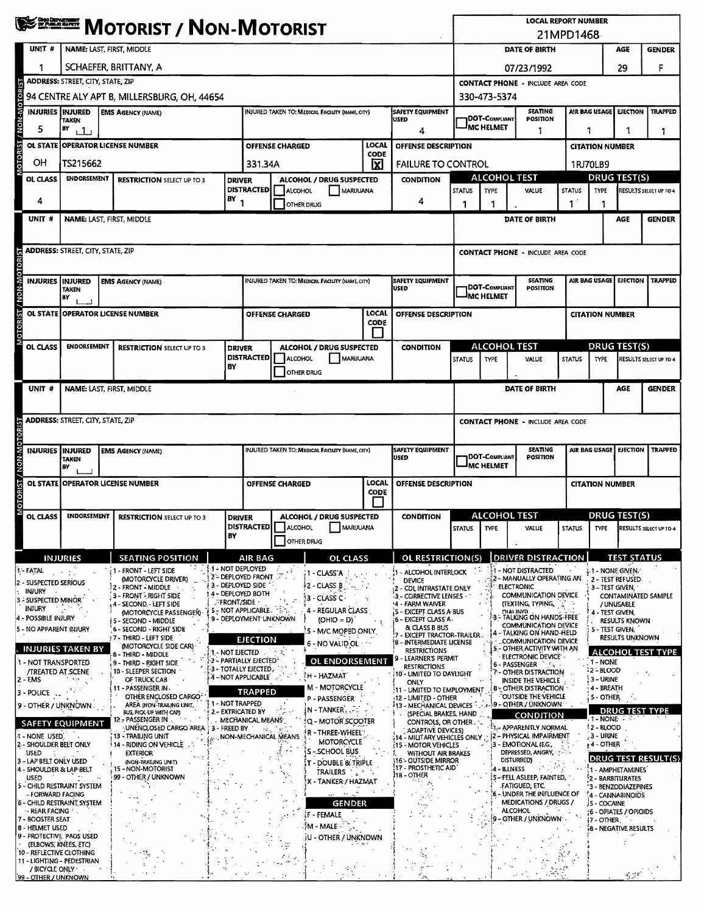|                               | <b>WEST MOTORIST / NON-MOTORIST</b> |                                                                                                                                |  |                                                                         |                                                                                |                                                                                         |                        |                                                        |                                                                                                                                                                        |                                                                                                                                               | <b>LOCAL REPORT NUMBER</b><br>21MPD1468                       |                                       |                                                                              |                                      |                                          |                                                       |                          |
|-------------------------------|-------------------------------------|--------------------------------------------------------------------------------------------------------------------------------|--|-------------------------------------------------------------------------|--------------------------------------------------------------------------------|-----------------------------------------------------------------------------------------|------------------------|--------------------------------------------------------|------------------------------------------------------------------------------------------------------------------------------------------------------------------------|-----------------------------------------------------------------------------------------------------------------------------------------------|---------------------------------------------------------------|---------------------------------------|------------------------------------------------------------------------------|--------------------------------------|------------------------------------------|-------------------------------------------------------|--------------------------|
|                               | UNIT #                              | NAME: LAST, FIRST, MIDDLE                                                                                                      |  |                                                                         |                                                                                |                                                                                         |                        |                                                        |                                                                                                                                                                        |                                                                                                                                               |                                                               | DATE OF BIRTH<br>AGE<br><b>GENDER</b> |                                                                              |                                      |                                          |                                                       |                          |
|                               | 1                                   | SCHAEFER, BRITTANY, A                                                                                                          |  |                                                                         |                                                                                |                                                                                         |                        |                                                        |                                                                                                                                                                        |                                                                                                                                               | 07/23/1992                                                    |                                       |                                                                              |                                      |                                          | 29                                                    | F                        |
|                               |                                     | <b>ADDRESS: STREET, CITY, STATE, ZIP</b>                                                                                       |  |                                                                         |                                                                                |                                                                                         |                        |                                                        |                                                                                                                                                                        |                                                                                                                                               | <b>CONTACT PHONE - INCLUDE AREA CODE</b>                      |                                       |                                                                              |                                      |                                          |                                                       |                          |
|                               |                                     | 94 CENTRE ALY APT B, MILLERSBURG, OH, 44654                                                                                    |  |                                                                         |                                                                                |                                                                                         |                        |                                                        |                                                                                                                                                                        |                                                                                                                                               | 330-473-5374                                                  |                                       |                                                                              |                                      |                                          |                                                       |                          |
|                               |                                     | INJURIES INJURED<br><b>EMS AGENCY (NAME)</b><br>INJURED TAKEN TO: MEDICAL FACILITY (NAME, CITY)<br><b>USED</b><br><b>TAKEN</b> |  |                                                                         |                                                                                |                                                                                         |                        |                                                        |                                                                                                                                                                        | <b>SAFETY EQUIPMENT</b>                                                                                                                       | <b>SEATING</b><br>AIR BAG USAGE<br>1DOT-Compliant<br>POSITION |                                       |                                                                              |                                      |                                          | <b>EJECTION</b>                                       | <b>TRAPPED</b>           |
|                               | 5                                   | BY<br>111                                                                                                                      |  |                                                                         |                                                                                |                                                                                         |                        |                                                        |                                                                                                                                                                        | 4                                                                                                                                             |                                                               | IMC HELMET                            | 1                                                                            | 1                                    |                                          | 1                                                     | 1                        |
| <b>OTORIST / NON-MOTORIST</b> | <b>OL STATE</b>                     |                                                                                                                                |  | <b>OPERATOR LICENSE NUMBER</b>                                          |                                                                                |                                                                                         | <b>OFFENSE CHARGED</b> |                                                        | LOCAL<br>CODE                                                                                                                                                          | OFFENSE DESCRIPTION                                                                                                                           |                                                               |                                       |                                                                              |                                      | <b>CITATION NUMBER</b>                   |                                                       |                          |
|                               | OH                                  | TS215662                                                                                                                       |  |                                                                         |                                                                                | 331.34A                                                                                 |                        |                                                        | $\overline{\mathbf{x}}$                                                                                                                                                | <b>FAILURE TO CONTROL</b>                                                                                                                     |                                                               |                                       |                                                                              |                                      | 1RJ70LB9                                 |                                                       |                          |
|                               | OL CLASS                            | <b>ENDORSEMENT</b>                                                                                                             |  | <b>RESTRICTION SELECT UP TO 3</b>                                       | <b>DRIVER</b>                                                                  | <b>DISTRACTED</b>                                                                       | ALCOHOL                | <b>ALCOHOL / DRUG SUSPECTED</b><br>MARIJUANA           |                                                                                                                                                                        | <b>CONDITION</b>                                                                                                                              | <b>STATUS</b>                                                 | <b>ALCOHOL TEST</b><br><b>TYPE</b>    | VALUE                                                                        | <b>STATUS</b>                        |                                          | <b>DRUG TEST(S)</b><br>RESULTS SELECT UP TO 4<br>TYPE |                          |
|                               | 4                                   |                                                                                                                                |  |                                                                         | $BY_1$                                                                         |                                                                                         |                        | OTHER DRUG                                             |                                                                                                                                                                        | 4                                                                                                                                             | 1                                                             |                                       |                                                                              | 1                                    |                                          |                                                       |                          |
|                               | UNIT#                               |                                                                                                                                |  | NAME: LAST, FIRST, MIDDLE                                               |                                                                                |                                                                                         |                        |                                                        |                                                                                                                                                                        |                                                                                                                                               |                                                               |                                       | DATE OF BIRTH                                                                |                                      |                                          | AGE                                                   | <b>GENDER</b>            |
|                               |                                     |                                                                                                                                |  |                                                                         |                                                                                |                                                                                         |                        |                                                        |                                                                                                                                                                        |                                                                                                                                               |                                                               |                                       |                                                                              |                                      |                                          |                                                       |                          |
|                               |                                     | <b>ADDRESS:</b> STREET, CITY, STATE, ZIP                                                                                       |  |                                                                         |                                                                                |                                                                                         |                        |                                                        |                                                                                                                                                                        |                                                                                                                                               |                                                               |                                       | <b>CONTACT PHONE - INCLUDE AREA CODE</b>                                     |                                      |                                          |                                                       |                          |
| <b>OTORIST / NON-MOTORIST</b> |                                     | <b>INJURIES INJURED</b>                                                                                                        |  | <b>EMS AGENCY (NAME)</b>                                                |                                                                                |                                                                                         |                        | INJURED TAKEN TO: MEDICAL FACUTY (NAME, CITY)          |                                                                                                                                                                        | <b>SAFETY EQUIPMENT</b>                                                                                                                       |                                                               |                                       | <b>SEATING</b>                                                               |                                      | AIR BAG USAGE                            | <b>EJECTION</b>                                       | <b>TRAPPED</b>           |
|                               |                                     | <b>TAKEN</b><br>BY                                                                                                             |  |                                                                         |                                                                                |                                                                                         |                        |                                                        |                                                                                                                                                                        | <b>USED</b>                                                                                                                                   |                                                               | <b>IDOT-COMPLIANT</b><br>IMC HELMET   | <b>POSITION</b>                                                              |                                      |                                          |                                                       |                          |
|                               |                                     |                                                                                                                                |  | OL STATE OPPERATOR LICENSE NUMBER                                       |                                                                                |                                                                                         | <b>OFFENSE CHARGED</b> |                                                        | LOCAL                                                                                                                                                                  | OFFENSE DESCRIPTION                                                                                                                           |                                                               |                                       |                                                                              |                                      | <b>CITATION NUMBER</b>                   |                                                       |                          |
|                               |                                     |                                                                                                                                |  |                                                                         |                                                                                |                                                                                         |                        |                                                        | <b>CODE</b>                                                                                                                                                            |                                                                                                                                               |                                                               |                                       |                                                                              |                                      |                                          |                                                       |                          |
|                               | OL CLASS                            | <b>ENDORSEMENT</b>                                                                                                             |  | <b>RESTRICTION SELECT UP TO 3</b>                                       | <b>DRIVER</b>                                                                  |                                                                                         |                        | ALCOHOL / DRUG SUSPECTED                               |                                                                                                                                                                        | <b>CONDITION</b>                                                                                                                              |                                                               | <b>ALCOHOL TEST</b>                   |                                                                              |                                      | <b>DRUG TEST(S)</b>                      |                                                       |                          |
|                               |                                     |                                                                                                                                |  |                                                                         | BY                                                                             | <b>DISTRACTED</b>                                                                       | <b>ALCOHOL</b>         | MARIJUANA                                              |                                                                                                                                                                        |                                                                                                                                               | <b>STATUS</b>                                                 | TYPE                                  | <b>VALUE</b>                                                                 | <b>STATUS</b>                        | TYPE                                     |                                                       | RESULTS SELECT UP TO 4   |
|                               |                                     |                                                                                                                                |  |                                                                         |                                                                                |                                                                                         |                        | OTHER DRUG                                             |                                                                                                                                                                        |                                                                                                                                               |                                                               |                                       |                                                                              |                                      |                                          | AGE                                                   |                          |
|                               | UNIT #                              |                                                                                                                                |  | NAME: LAST, FIRST, MIDDLE                                               |                                                                                |                                                                                         |                        |                                                        |                                                                                                                                                                        |                                                                                                                                               |                                                               |                                       | DATE OF BIRTH                                                                |                                      |                                          |                                                       | <b>GENDER</b>            |
|                               |                                     | <b>ADDRESS: STREET, CITY, STATE, ZIP</b>                                                                                       |  |                                                                         |                                                                                |                                                                                         |                        |                                                        |                                                                                                                                                                        |                                                                                                                                               |                                                               |                                       | <b>CONTACT PHONE - INCLUDE AREA CODE</b>                                     |                                      |                                          |                                                       |                          |
|                               |                                     |                                                                                                                                |  |                                                                         |                                                                                |                                                                                         |                        |                                                        |                                                                                                                                                                        |                                                                                                                                               |                                                               |                                       |                                                                              |                                      |                                          |                                                       |                          |
|                               | <b>INJURIES</b>                     | <b>INJURED</b><br><b>TAKEN</b>                                                                                                 |  | <b>EMS AGENCY (NAME)</b>                                                |                                                                                |                                                                                         |                        | <b>INJURED TAKEN TO: MEDICAL FACILITY (NAME, CITY)</b> |                                                                                                                                                                        | <b>SAFETY EQUIPMENT</b><br><b>SEATING</b><br>AIR BAG USAGE<br><b>EJECTION</b><br><b>DOT-COMPLIANT</b><br>USED<br><b>POSITION</b>              |                                                               |                                       |                                                                              |                                      |                                          | <b>TRAPPED</b>                                        |                          |
|                               |                                     | BY                                                                                                                             |  |                                                                         |                                                                                |                                                                                         |                        |                                                        |                                                                                                                                                                        | <sup>I</sup> MC HELMET                                                                                                                        |                                                               |                                       |                                                                              |                                      |                                          |                                                       |                          |
| MOTORIST / NON-MOTORIST       |                                     |                                                                                                                                |  | <b>OL STATE OPERATOR LICENSE NUMBER</b>                                 |                                                                                | <b>LOCAL</b><br><b>OFFENSE CHARGED</b><br>OFFENSE DESCRIPTION<br>CODE                   |                        |                                                        |                                                                                                                                                                        | <b>CITATION NUMBER</b>                                                                                                                        |                                                               |                                       |                                                                              |                                      |                                          |                                                       |                          |
|                               |                                     |                                                                                                                                |  |                                                                         |                                                                                |                                                                                         |                        |                                                        |                                                                                                                                                                        | <b>ALCOHOL TEST</b><br><b>DRUG TEST(S)</b>                                                                                                    |                                                               |                                       |                                                                              |                                      |                                          |                                                       |                          |
|                               | OL CLASS                            | <b>ENDORSEMENT</b>                                                                                                             |  | <b>RESTRICTION SELECT UP TO 3</b>                                       | ALCOHOL / DRUG SUSPECTED<br><b>DRIVER</b><br>DISTRACTED    ALCOHOL<br>MARUUANA |                                                                                         |                        |                                                        |                                                                                                                                                                        | <b>CONDITION</b><br>STATUS TYPE                                                                                                               |                                                               |                                       | VALUE                                                                        |                                      |                                          | STATUS TYPE RESULTS SELECT UP TO 4                    |                          |
|                               |                                     |                                                                                                                                |  |                                                                         | BY                                                                             |                                                                                         |                        | OTHER DRUG                                             |                                                                                                                                                                        |                                                                                                                                               |                                                               |                                       |                                                                              |                                      |                                          |                                                       |                          |
|                               |                                     | <b>INJURIES</b>                                                                                                                |  | <b>SEATING POSITION</b>                                                 | ⊟ - NOT DEPLOYED                                                               | AIR BAG                                                                                 |                        | <b>OL CLASS</b>                                        |                                                                                                                                                                        | OL RESTRICTION(S)                                                                                                                             |                                                               |                                       | <b>DRIVER DISTRACTION</b>                                                    |                                      |                                          | <b>TEST STATUS</b>                                    |                          |
| 1 - FATAL                     | 2 - SUSPECTED SERIOUS               |                                                                                                                                |  | - FRONT - LEFT SIDE<br>(MOTORCYCLE DRIVER)<br>2 - FRONT - MIDDLE        | 3 - DEPLOYED SIDE                                                              | 2 - DEPLOYED FRONT                                                                      | F                      | <b>1-CLASS'A</b><br>‡2 – CLASS B                       |                                                                                                                                                                        | 1 - ALCOHOL INTERLOCK<br><b>DEVICE</b>                                                                                                        |                                                               |                                       | <b>I1 - NOT DISTRACTED</b><br>2 - MANUALLY OPERATING AN<br><b>ELECTRONIC</b> |                                      | 1-1 - NONE GIVEN.<br>3 - TEST GIVEN,     | 2 - TEST REFUSED.                                     |                          |
|                               | injury<br>3 - SUSPECTED MINOR       |                                                                                                                                |  | 3 - FRONT - RIGHT SIDE<br>4 - SECOND. - LEFT SIDE                       | 4 - DEPLOYED BOTH<br><b>FRONT/SIDE</b>                                         |                                                                                         |                        | 3 - CLASS C -                                          |                                                                                                                                                                        | 2 - CDL INTRASTATE ONLY<br>3 - CORRECTIVE LENSES ·<br>'4 - FARM WAIVER                                                                        |                                                               |                                       | COMMUNICATION DEVICE<br>(TEXTING, TYPING,                                    |                                      |                                          | / UNUSABLE                                            | CONTAMINATED SAMPLE      |
| <b>INJURY</b>                 | 4 - POSSIBLE INJURY                 |                                                                                                                                |  | (MOTORCYCLE PASSENGER)<br>5 - SECOND - MIDDLE                           |                                                                                | <b>S-NOT APPLICABLE.</b><br>4 - REGULAR CLASS<br>9 - DEPLOYMENT UNKNOWN<br>$(OHIO = D)$ |                        |                                                        |                                                                                                                                                                        | <b>S - EXCEPT CLASS A BUS</b><br>6 - EXCEPT CLASS A-                                                                                          | <b>DIALING</b><br>4 - Test given,<br>- TALKING ON HANDS-FREE  |                                       |                                                                              |                                      |                                          | <b>RESULTS KNOWN</b>                                  |                          |
|                               |                                     | 5 - NO APPARENT INJURY                                                                                                         |  | 6 - SECOND - RIGHT SIDE<br>77 - THIRD - LEFT SIDE                       | '.5 - M/C MOPED ONLY<br><b>EJECTION</b>                                        |                                                                                         |                        |                                                        | COMMUNICATION DEVICE<br>& CLASS B BUS<br>5 - TEST GIVEN.<br>- TALKING ON HAND-HELD<br><b>EXCEPT TRACTOR-TRAILER.</b><br><b>RESULTS UNKNOWN</b><br>COMMUNICATION DEVICE |                                                                                                                                               |                                                               |                                       |                                                                              |                                      |                                          |                                                       |                          |
|                               |                                     | <b>INJURIES TAKEN BY</b>                                                                                                       |  | (MOTORCYCLE SIDE CAR)<br>8 - THIRD - MIDDLE                             | 1 - NOT EJECTED                                                                |                                                                                         |                        | 6 - NO VALID OL                                        |                                                                                                                                                                        | 18 - INTERMEDIATE LICENSE<br><b>RESTRICTIONS</b>                                                                                              |                                                               |                                       | - OTHER ACTIVITY WITH AN<br><b>ELECTRONIC DEVICE</b>                         |                                      |                                          |                                                       | <b>ALCOHOL TEST TYPE</b> |
|                               |                                     | 1 - NOT TRANSPORTED<br><b>/TREATED AT SCENE</b>                                                                                |  | 9 - THIRD - RIGHT SIDE<br>10 - SLEEPER SECTION                          | -2 - PARTIALLY EJECTED <sup>®</sup>                                            | 3 - TOTALLY EJECTED.                                                                    |                        | OL ENDORSEMENT                                         |                                                                                                                                                                        | 9 - LEARNER'S PERMIT<br>RESTRICTIONS<br>10 - LIMITED TO DAYLIGHT                                                                              |                                                               |                                       | <b>6-PASSENGER</b><br>7 - OTHER DISTRACTION                                  |                                      | 1 - NONE<br><b>12 - BLOOD</b>            |                                                       |                          |
| 2 - EMS                       | $3 -$ POLICE $\ldots$               |                                                                                                                                |  | OF TRUCK CAB<br>11 - PASSENGER IN                                       |                                                                                | 4-NOT APPLICABLE<br><b>TRAPPED</b>                                                      |                        | ‡н - НАZMAT<br>M - MOTORCYCLE                          |                                                                                                                                                                        | ONLY<br>11 - LIMITED TO EMPLOYMENT                                                                                                            |                                                               |                                       | INSIDE THE VEHICLE<br><b><i>B</i>-OTHER DISTRACTION</b>                      |                                      | 3 - URINE<br>4 - BREATH                  |                                                       |                          |
|                               |                                     | 9 - OTHER / UNKNOWN.                                                                                                           |  | OTHER ENCLOSED CARGO<br>AREA (NON-TRAILING UNIT,                        | 1 - NOT TRAPPED                                                                |                                                                                         |                        | P - PASSENGER'<br>N - TANKER,                          |                                                                                                                                                                        | (12 - LIMITED - OTHER<br>113 - MECHANICAL DEVICES Post                                                                                        |                                                               |                                       | OUTSIDE THE VEHICLE<br>! 9 - OTHER / UNKNOWN                                 |                                      | S - OTHER                                |                                                       |                          |
|                               |                                     | <b>SAFETY EQUIPMENT</b>                                                                                                        |  | BUS, PICK-UP WITH CAP)<br>12 - PASSENGER IN  .<br>UNENCLOSED CARGO AREA | 2 - EXTRICATED BY                                                              | MECHANICAL MEANS                                                                        |                        | Q - MOTOR SCOOTER                                      |                                                                                                                                                                        | <b>DRUG TEST TYPE</b><br>(SPECIAL BRAKES, HAND<br>CONDITION<br>1 - NONE<br>CONTROLS, OR OTHER.<br>-1,- APPARENTLY NORMAL<br><b>12 - BLOOD</b> |                                                               |                                       |                                                                              |                                      |                                          |                                                       |                          |
|                               | 1 - NONE USED.                      | 2- SHOULDER BELT ONLY                                                                                                          |  | ' 13 - TRAILING UNIT<br><sup>i</sup> 14 - RIDING ON VEHICLE             | 3 - FREED BY                                                                   | 10.3<br>NON-MECHANICAL MEANS                                                            |                        | r - Three-Wheel*<br><b>MOTORCYCLE</b>                  |                                                                                                                                                                        | <b>ADAPTIVE DEVICES)</b><br>: 14 - MILITARY VEHICLES ONLY<br><b>15 - MOTOR VEHICLES</b>                                                       |                                                               |                                       | 2 - PHYSICAL IMPAIRMENT<br>3 - EMOTIONAL (E.G.,                              |                                      | .3 - Urine<br>+4 - OTHER                 |                                                       |                          |
| USED                          |                                     | 3 - LAP BELT ONLY USED                                                                                                         |  | <b>EXTERIOR</b><br>(NON-TRAILING UNIT)                                  |                                                                                |                                                                                         |                        | S - SCHOOL BUS<br>T - DOUBLE & TRIPLE                  |                                                                                                                                                                        | WITHOUT AIR BRAKES<br>16 - OUTSIDE MIRROR                                                                                                     |                                                               |                                       | DEPRESSED, ANGRY,<br>DISTURBED)                                              |                                      |                                          |                                                       | (DRUG TEST RESULT(S      |
| <b>USED</b>                   |                                     | 4 - SHOULDER & LAP-BELT                                                                                                        |  | 15 - NON-MOTORIST<br>99 - OTHER / UNKNOWN                               |                                                                                |                                                                                         |                        | TRAILERS ' 2 "                                         |                                                                                                                                                                        | 17 - PROSTHETIC AID<br>18 - OTHER                                                                                                             | 4 - ILLNESS<br>S - FELL ASLEEP, FAINTED,                      |                                       |                                                                              | 1 - AMPHETAMINES<br>2 - BARBITURATES |                                          |                                                       |                          |
|                               | - FORWARD FACING                    | 5 - CHILD RESTRAINT SYSTEM                                                                                                     |  |                                                                         |                                                                                |                                                                                         |                        | X - TANKER / HAZMAT<br>$\sim$ $-$                      |                                                                                                                                                                        |                                                                                                                                               |                                                               |                                       | .FATIGUED, ETC.<br>6 - UNDER THE INFLUENCE OF                                |                                      | '3 - BENZODIAZEPINES<br>4 - CANNABINOIDS |                                                       |                          |
|                               | - REAR FACING                       | 6 - CHILD RESTRAINT SYSTEM                                                                                                     |  |                                                                         |                                                                                |                                                                                         |                        | <b>GENDER</b><br><b>IF - FEMALE</b>                    |                                                                                                                                                                        | ر د ۲                                                                                                                                         |                                                               |                                       | MEDICATIONS / DRUGS /<br><b>ALCOHOL</b>                                      |                                      | 15 - COCAINE<br>6 - OPIATES / OPIOIDS    |                                                       |                          |
|                               | 7 - BOOSTER SEAT<br>8 - HELMET USED |                                                                                                                                |  |                                                                         |                                                                                |                                                                                         |                        | ាំM - MALE -                                           |                                                                                                                                                                        |                                                                                                                                               |                                                               |                                       | - OTHER / UNKNOWN                                                            |                                      | 7 - OTHER<br><b>8 - NEGATIVE RESULTS</b> |                                                       |                          |
|                               |                                     | 9 - PROTECTIVE PADS USED<br>(ELBOWS, KNEES, ETC)                                                                               |  |                                                                         |                                                                                |                                                                                         |                        | U - OTHER / UNKNOWN                                    |                                                                                                                                                                        |                                                                                                                                               |                                                               |                                       |                                                                              |                                      |                                          |                                                       |                          |
|                               |                                     | 10 - REFLECTIVE CLOTHING<br>11 - LIGHTING - PEDESTRIAN                                                                         |  |                                                                         |                                                                                |                                                                                         |                        |                                                        |                                                                                                                                                                        |                                                                                                                                               |                                                               |                                       |                                                                              |                                      |                                          |                                                       |                          |
|                               | / BICYCLE ONLY                      | 99 - OTHER / UNKNOWN                                                                                                           |  |                                                                         |                                                                                |                                                                                         |                        |                                                        |                                                                                                                                                                        |                                                                                                                                               |                                                               |                                       |                                                                              |                                      |                                          | 香草虾                                                   |                          |